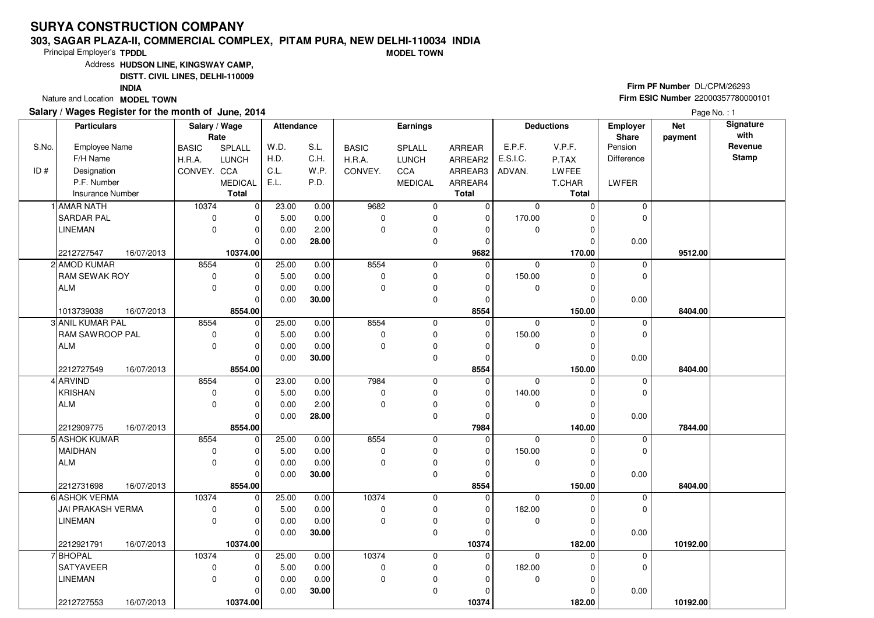#### **303, SAGAR PLAZA-II, COMMERCIAL COMPLEX, PITAM PURA, NEW DELHI-110034 INDIAMODEL TOWN**

Principal Employer's**TPDDL**

Address**HUDSON LINE, KINGSWAY CAMP,**

**DISTT. CIVIL LINES, DELHI-110009**

**INDIA**

Nature and Location **MODEL TOWN** 

### **Salary / Wages Register for the month of June, 2014**

**Firm PF Number** DL/CPM/26293 **Firm ESIC Number** <sup>22000357780000101</sup>

|       | <b>Particulars</b>                        | Salary / Wage<br>Rate |                     | <b>Attendance</b> |       |              | <b>Earnings</b> |                |             | <b>Deductions</b> | Employer<br>Share | <b>Net</b><br>payment | Signature<br>with |
|-------|-------------------------------------------|-----------------------|---------------------|-------------------|-------|--------------|-----------------|----------------|-------------|-------------------|-------------------|-----------------------|-------------------|
| S.No. | Employee Name                             | <b>BASIC</b>          | SPLALL              | W.D.              | S.L.  | <b>BASIC</b> | SPLALL          | ARREAR         | E.P.F.      | V.P.F.            | Pension           |                       | Revenue           |
|       | F/H Name                                  | H.R.A.                | <b>LUNCH</b>        | H.D.              | C.H.  | H.R.A.       | <b>LUNCH</b>    | ARREAR2        | E.S.I.C.    | P.TAX             | <b>Difference</b> |                       | <b>Stamp</b>      |
| ID#   | Designation                               | CONVEY. CCA           |                     | C.L.              | W.P.  | CONVEY.      | CCA             | ARREAR3        | ADVAN.      | LWFEE             |                   |                       |                   |
|       | P.F. Number                               |                       | <b>MEDICAL</b>      | E.L.              | P.D.  |              | <b>MEDICAL</b>  | ARREAR4        |             | T.CHAR            | LWFER             |                       |                   |
|       | <b>Insurance Number</b>                   |                       | <b>Total</b>        |                   |       |              |                 | <b>Total</b>   |             | <b>Total</b>      |                   |                       |                   |
|       | 1 AMAR NATH                               | 10374                 | 0                   | 23.00             | 0.00  | 9682         | 0               | $\mathbf 0$    | $\mathbf 0$ | $\Omega$          | $\mathbf 0$       |                       |                   |
|       | <b>SARDAR PAL</b>                         | 0                     | 0                   | 5.00              | 0.00  | $\mathbf 0$  | 0               | $\mathbf 0$    | 170.00      |                   | $\mathbf 0$       |                       |                   |
|       | <b>LINEMAN</b>                            | $\mathbf 0$           | $\mathbf 0$         | 0.00              | 2.00  | $\Omega$     | 0               | $\Omega$       | 0           | ∩                 |                   |                       |                   |
|       |                                           |                       | $\mathbf 0$         | 0.00              | 28.00 |              | 0               | 0              |             | $\Omega$          | 0.00              |                       |                   |
|       | 2212727547<br>16/07/2013                  |                       | 10374.00            |                   |       |              |                 | 9682           |             | 170.00            |                   | 9512.00               |                   |
|       | 2 AMOD KUMAR                              | 8554                  | 0                   | 25.00             | 0.00  | 8554         | 0               | 0              | $\mathbf 0$ | $\Omega$          | 0                 |                       |                   |
|       | RAM SEWAK ROY                             | 0                     | 0                   | 5.00              | 0.00  | 0            | 0               | $\Omega$       | 150.00      | C                 | $\mathbf 0$       |                       |                   |
|       | <b>ALM</b>                                | $\mathbf 0$           | $\Omega$            | 0.00              | 0.00  | $\Omega$     | 0               | $\Omega$       | $\mathbf 0$ | C                 |                   |                       |                   |
|       |                                           |                       | 0                   | 0.00              | 30.00 |              | 0               | $\Omega$       |             | C                 | 0.00              |                       |                   |
|       | 1013739038<br>16/07/2013                  |                       | 8554.00             |                   |       |              |                 | 8554           |             | 150.00            |                   | 8404.00               |                   |
|       | 3 ANIL KUMAR PAL                          | 8554                  | $\mathbf 0$         | 25.00             | 0.00  | 8554         | $\mathbf 0$     | 0              | $\Omega$    | $\Omega$          | $\mathbf 0$       |                       |                   |
|       | RAM SAWROOP PAL                           | 0                     | $\Omega$            | 5.00              | 0.00  | 0            | 0               | $\Omega$       | 150.00      |                   | 0                 |                       |                   |
|       | <b>ALM</b>                                | $\Omega$              | $\mathbf 0$         | 0.00              | 0.00  | $\Omega$     | 0               | $\Omega$       | $\mathbf 0$ | O                 |                   |                       |                   |
|       |                                           |                       | 0                   | 0.00              | 30.00 |              | 0               | $\Omega$       |             | C                 | 0.00              |                       |                   |
|       | 2212727549<br>16/07/2013                  |                       | 8554.00             |                   |       |              |                 | 8554           |             | 150.00            |                   | 8404.00               |                   |
|       | 4 ARVIND                                  | 8554                  | $\mathbf 0$         | 23.00             | 0.00  | 7984         | $\mathbf 0$     | $\overline{0}$ | $\Omega$    | $\Omega$          | $\mathbf 0$       |                       |                   |
|       | <b>KRISHAN</b>                            | 0                     | $\Omega$            | 5.00              | 0.00  | 0            | 0               | $\Omega$       | 140.00      | C                 | $\mathbf 0$       |                       |                   |
|       | <b>ALM</b>                                | 0                     | 0                   | 0.00              | 2.00  | $\Omega$     | $\pmb{0}$       | $\Omega$       | 0           |                   |                   |                       |                   |
|       |                                           |                       | $\Omega$<br>8554.00 | 0.00              | 28.00 |              | $\mathbf 0$     | O<br>7984      |             | C<br>140.00       | 0.00              |                       |                   |
|       | 2212909775<br>16/07/2013<br>5 ASHOK KUMAR | 8554                  | $\Omega$            | 25.00             | 0.00  | 8554         | 0               | $\overline{0}$ | $\Omega$    |                   | $\mathbf 0$       | 7844.00               |                   |
|       | <b>MAIDHAN</b>                            | 0                     | $\Omega$            | 5.00              | 0.00  | 0            | 0               | $\Omega$       | 150.00      |                   | $\mathbf 0$       |                       |                   |
|       | <b>ALM</b>                                | 0                     | 0                   | 0.00              | 0.00  | $\Omega$     | 0               | $\Omega$       | 0           | $\Omega$          |                   |                       |                   |
|       |                                           |                       | $\mathbf 0$         | 0.00              | 30.00 |              | 0               | $\Omega$       |             | $\Omega$          | 0.00              |                       |                   |
|       | 16/07/2013<br>2212731698                  |                       | 8554.00             |                   |       |              |                 | 8554           |             | 150.00            |                   | 8404.00               |                   |
|       | 6 ASHOK VERMA                             | 10374                 | $\mathbf 0$         | 25.00             | 0.00  | 10374        | 0               | $\Omega$       | $\mathbf 0$ |                   | $\mathbf 0$       |                       |                   |
|       | JAI PRAKASH VERMA                         | 0                     | $\Omega$            | 5.00              | 0.00  | $\mathbf 0$  | 0               | $\Omega$       | 182.00      | ŋ                 | $\mathbf 0$       |                       |                   |
|       | <b>LINEMAN</b>                            | $\mathbf 0$           | 0                   | 0.00              | 0.00  | 0            | 0               | O              | 0           |                   |                   |                       |                   |
|       |                                           |                       | $\Omega$            | 0.00              | 30.00 |              | 0               | $\Omega$       |             | $\Omega$          | 0.00              |                       |                   |
|       | 16/07/2013<br>2212921791                  |                       | 10374.00            |                   |       |              |                 | 10374          |             | 182.00            |                   | 10192.00              |                   |
|       | 7 BHOPAL                                  | 10374                 | $\mathbf 0$         | 25.00             | 0.00  | 10374        | 0               | $\Omega$       | $\Omega$    | U                 | $\mathbf 0$       |                       |                   |
|       | <b>SATYAVEER</b>                          | 0                     | 0                   | 5.00              | 0.00  | $\mathbf 0$  | 0               | $\Omega$       | 182.00      |                   | $\mathbf 0$       |                       |                   |
|       | <b>LINEMAN</b>                            | $\mathbf 0$           | 0                   | 0.00              | 0.00  | $\Omega$     | 0               | O              | $\mathbf 0$ |                   |                   |                       |                   |
|       |                                           |                       | 0                   | 0.00              | 30.00 |              | 0               | O              |             |                   | 0.00              |                       |                   |
|       | 2212727553<br>16/07/2013                  |                       | 10374.00            |                   |       |              |                 | 10374          |             | 182.00            |                   | 10192.00              |                   |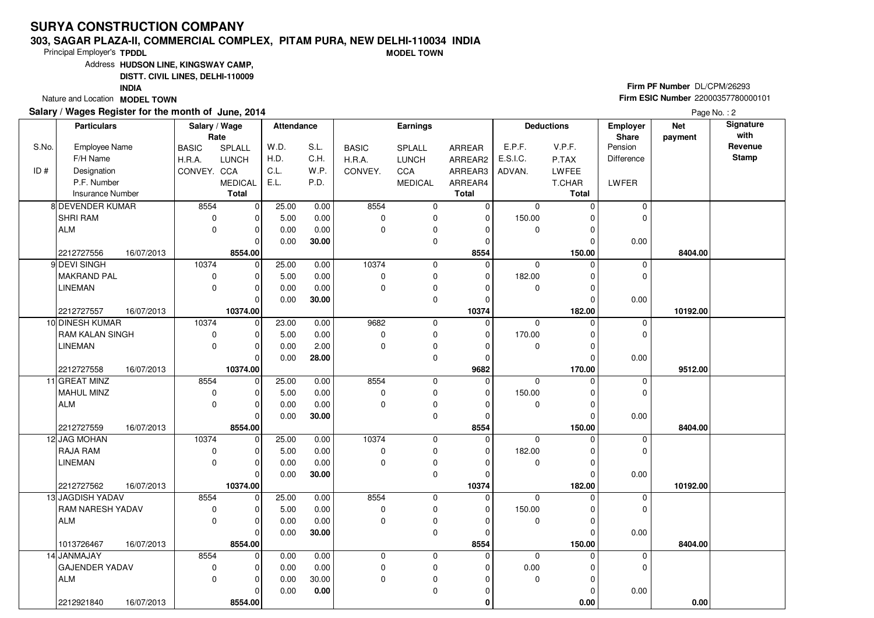#### **303, SAGAR PLAZA-II, COMMERCIAL COMPLEX, PITAM PURA, NEW DELHI-110034 INDIAMODEL TOWN**

Principal Employer's**TPDDL**

Address**HUDSON LINE, KINGSWAY CAMP,**

**DISTT. CIVIL LINES, DELHI-110009**

**INDIA**

Nature and Location **MODEL TOWN** 

### **Salary / Wages Register for the month of June, 2014**

**Firm PF Number** DL/CPM/26293 **Firm ESIC Number** <sup>22000357780000101</sup>

| <b>Particulars</b>      |                                                                                                                                                                                                                                                                                                                                                                                                                       |                                                                                                |                        |                                                                                                                                                                                                                                                                                       |                                                                                                                                                                                                                                                                                                                           |                                                                                                                                                                                                                         | <b>Earnings</b>                                                                                                                                        |                                                                                                                                                                     |                                                                                                                                                                                                                                 |                                                                                                                                              | Employer<br>Share                                                                                                                                                                                                                                            | <b>Net</b><br>payment                                                                                                                             | Signature<br>with                                     |
|-------------------------|-----------------------------------------------------------------------------------------------------------------------------------------------------------------------------------------------------------------------------------------------------------------------------------------------------------------------------------------------------------------------------------------------------------------------|------------------------------------------------------------------------------------------------|------------------------|---------------------------------------------------------------------------------------------------------------------------------------------------------------------------------------------------------------------------------------------------------------------------------------|---------------------------------------------------------------------------------------------------------------------------------------------------------------------------------------------------------------------------------------------------------------------------------------------------------------------------|-------------------------------------------------------------------------------------------------------------------------------------------------------------------------------------------------------------------------|--------------------------------------------------------------------------------------------------------------------------------------------------------|---------------------------------------------------------------------------------------------------------------------------------------------------------------------|---------------------------------------------------------------------------------------------------------------------------------------------------------------------------------------------------------------------------------|----------------------------------------------------------------------------------------------------------------------------------------------|--------------------------------------------------------------------------------------------------------------------------------------------------------------------------------------------------------------------------------------------------------------|---------------------------------------------------------------------------------------------------------------------------------------------------|-------------------------------------------------------|
| Employee Name           |                                                                                                                                                                                                                                                                                                                                                                                                                       |                                                                                                | SPLALL                 | W.D.                                                                                                                                                                                                                                                                                  | S.L.                                                                                                                                                                                                                                                                                                                      | <b>BASIC</b>                                                                                                                                                                                                            | SPLALL                                                                                                                                                 | ARREAR                                                                                                                                                              | E.P.F.                                                                                                                                                                                                                          | V.P.F.                                                                                                                                       | Pension                                                                                                                                                                                                                                                      |                                                                                                                                                   | Revenue                                               |
| F/H Name                |                                                                                                                                                                                                                                                                                                                                                                                                                       |                                                                                                | <b>LUNCH</b>           | H.D.                                                                                                                                                                                                                                                                                  | C.H.                                                                                                                                                                                                                                                                                                                      | H.R.A.                                                                                                                                                                                                                  | <b>LUNCH</b>                                                                                                                                           | ARREAR2                                                                                                                                                             | E.S.I.C.                                                                                                                                                                                                                        | P.TAX                                                                                                                                        | Difference                                                                                                                                                                                                                                                   |                                                                                                                                                   | <b>Stamp</b>                                          |
| Designation             |                                                                                                                                                                                                                                                                                                                                                                                                                       |                                                                                                |                        | C.L.                                                                                                                                                                                                                                                                                  | W.P.                                                                                                                                                                                                                                                                                                                      | CONVEY.                                                                                                                                                                                                                 | CCA                                                                                                                                                    | ARREAR3                                                                                                                                                             | ADVAN.                                                                                                                                                                                                                          | LWFEE                                                                                                                                        |                                                                                                                                                                                                                                                              |                                                                                                                                                   |                                                       |
| P.F. Number             |                                                                                                                                                                                                                                                                                                                                                                                                                       |                                                                                                | <b>MEDICAL</b>         | E.L.                                                                                                                                                                                                                                                                                  | P.D.                                                                                                                                                                                                                                                                                                                      |                                                                                                                                                                                                                         | <b>MEDICAL</b>                                                                                                                                         | ARREAR4                                                                                                                                                             |                                                                                                                                                                                                                                 | T.CHAR                                                                                                                                       | LWFER                                                                                                                                                                                                                                                        |                                                                                                                                                   |                                                       |
| <b>Insurance Number</b> |                                                                                                                                                                                                                                                                                                                                                                                                                       |                                                                                                | <b>Total</b>           |                                                                                                                                                                                                                                                                                       |                                                                                                                                                                                                                                                                                                                           |                                                                                                                                                                                                                         |                                                                                                                                                        | <b>Total</b>                                                                                                                                                        |                                                                                                                                                                                                                                 | <b>Total</b>                                                                                                                                 |                                                                                                                                                                                                                                                              |                                                                                                                                                   |                                                       |
| 8 DEVENDER KUMAR        |                                                                                                                                                                                                                                                                                                                                                                                                                       | 8554                                                                                           |                        | 25.00                                                                                                                                                                                                                                                                                 | 0.00                                                                                                                                                                                                                                                                                                                      | 8554                                                                                                                                                                                                                    | 0                                                                                                                                                      |                                                                                                                                                                     | $\mathbf 0$                                                                                                                                                                                                                     | $\Omega$                                                                                                                                     | $\mathbf 0$                                                                                                                                                                                                                                                  |                                                                                                                                                   |                                                       |
| SHRI RAM                |                                                                                                                                                                                                                                                                                                                                                                                                                       | 0                                                                                              | $\Omega$               | 5.00                                                                                                                                                                                                                                                                                  | 0.00                                                                                                                                                                                                                                                                                                                      | $\mathbf 0$                                                                                                                                                                                                             | 0                                                                                                                                                      | 0                                                                                                                                                                   | 150.00                                                                                                                                                                                                                          | 0                                                                                                                                            | 0                                                                                                                                                                                                                                                            |                                                                                                                                                   |                                                       |
| <b>ALM</b>              |                                                                                                                                                                                                                                                                                                                                                                                                                       | $\mathbf 0$                                                                                    | $\Omega$               | 0.00                                                                                                                                                                                                                                                                                  | 0.00                                                                                                                                                                                                                                                                                                                      | $\Omega$                                                                                                                                                                                                                | 0                                                                                                                                                      | $\Omega$                                                                                                                                                            | 0                                                                                                                                                                                                                               | $\Omega$                                                                                                                                     |                                                                                                                                                                                                                                                              |                                                                                                                                                   |                                                       |
|                         |                                                                                                                                                                                                                                                                                                                                                                                                                       |                                                                                                | $\Omega$               | 0.00                                                                                                                                                                                                                                                                                  | 30.00                                                                                                                                                                                                                                                                                                                     |                                                                                                                                                                                                                         | 0                                                                                                                                                      | 0                                                                                                                                                                   |                                                                                                                                                                                                                                 | 0                                                                                                                                            | 0.00                                                                                                                                                                                                                                                         |                                                                                                                                                   |                                                       |
| 2212727556              |                                                                                                                                                                                                                                                                                                                                                                                                                       |                                                                                                | 8554.00                |                                                                                                                                                                                                                                                                                       |                                                                                                                                                                                                                                                                                                                           |                                                                                                                                                                                                                         |                                                                                                                                                        | 8554                                                                                                                                                                |                                                                                                                                                                                                                                 | 150.00                                                                                                                                       |                                                                                                                                                                                                                                                              | 8404.00                                                                                                                                           |                                                       |
|                         |                                                                                                                                                                                                                                                                                                                                                                                                                       |                                                                                                |                        |                                                                                                                                                                                                                                                                                       |                                                                                                                                                                                                                                                                                                                           |                                                                                                                                                                                                                         | 0                                                                                                                                                      | $\mathbf 0$                                                                                                                                                         | $\mathbf 0$                                                                                                                                                                                                                     | $\Omega$                                                                                                                                     | $\mathbf 0$                                                                                                                                                                                                                                                  |                                                                                                                                                   |                                                       |
|                         |                                                                                                                                                                                                                                                                                                                                                                                                                       |                                                                                                | $\Omega$               |                                                                                                                                                                                                                                                                                       |                                                                                                                                                                                                                                                                                                                           |                                                                                                                                                                                                                         |                                                                                                                                                        | $\mathbf 0$                                                                                                                                                         |                                                                                                                                                                                                                                 | $\Omega$                                                                                                                                     |                                                                                                                                                                                                                                                              |                                                                                                                                                   |                                                       |
|                         |                                                                                                                                                                                                                                                                                                                                                                                                                       | $\mathbf 0$                                                                                    | $\Omega$               |                                                                                                                                                                                                                                                                                       |                                                                                                                                                                                                                                                                                                                           | $\Omega$                                                                                                                                                                                                                | 0                                                                                                                                                      | $\Omega$                                                                                                                                                            | 0                                                                                                                                                                                                                               | $\Omega$                                                                                                                                     |                                                                                                                                                                                                                                                              |                                                                                                                                                   |                                                       |
|                         |                                                                                                                                                                                                                                                                                                                                                                                                                       |                                                                                                | $\Omega$               |                                                                                                                                                                                                                                                                                       |                                                                                                                                                                                                                                                                                                                           |                                                                                                                                                                                                                         |                                                                                                                                                        | 0                                                                                                                                                                   |                                                                                                                                                                                                                                 | $\Omega$                                                                                                                                     |                                                                                                                                                                                                                                                              |                                                                                                                                                   |                                                       |
|                         |                                                                                                                                                                                                                                                                                                                                                                                                                       |                                                                                                |                        |                                                                                                                                                                                                                                                                                       |                                                                                                                                                                                                                                                                                                                           |                                                                                                                                                                                                                         |                                                                                                                                                        |                                                                                                                                                                     |                                                                                                                                                                                                                                 |                                                                                                                                              |                                                                                                                                                                                                                                                              |                                                                                                                                                   |                                                       |
|                         |                                                                                                                                                                                                                                                                                                                                                                                                                       |                                                                                                |                        |                                                                                                                                                                                                                                                                                       |                                                                                                                                                                                                                                                                                                                           |                                                                                                                                                                                                                         |                                                                                                                                                        |                                                                                                                                                                     |                                                                                                                                                                                                                                 |                                                                                                                                              |                                                                                                                                                                                                                                                              |                                                                                                                                                   |                                                       |
|                         |                                                                                                                                                                                                                                                                                                                                                                                                                       |                                                                                                | 0                      |                                                                                                                                                                                                                                                                                       |                                                                                                                                                                                                                                                                                                                           |                                                                                                                                                                                                                         |                                                                                                                                                        |                                                                                                                                                                     |                                                                                                                                                                                                                                 |                                                                                                                                              |                                                                                                                                                                                                                                                              |                                                                                                                                                   |                                                       |
|                         |                                                                                                                                                                                                                                                                                                                                                                                                                       |                                                                                                |                        |                                                                                                                                                                                                                                                                                       |                                                                                                                                                                                                                                                                                                                           |                                                                                                                                                                                                                         |                                                                                                                                                        |                                                                                                                                                                     |                                                                                                                                                                                                                                 |                                                                                                                                              |                                                                                                                                                                                                                                                              |                                                                                                                                                   |                                                       |
|                         |                                                                                                                                                                                                                                                                                                                                                                                                                       |                                                                                                |                        |                                                                                                                                                                                                                                                                                       |                                                                                                                                                                                                                                                                                                                           |                                                                                                                                                                                                                         |                                                                                                                                                        |                                                                                                                                                                     |                                                                                                                                                                                                                                 |                                                                                                                                              |                                                                                                                                                                                                                                                              |                                                                                                                                                   |                                                       |
|                         |                                                                                                                                                                                                                                                                                                                                                                                                                       |                                                                                                |                        |                                                                                                                                                                                                                                                                                       |                                                                                                                                                                                                                                                                                                                           |                                                                                                                                                                                                                         |                                                                                                                                                        |                                                                                                                                                                     |                                                                                                                                                                                                                                 |                                                                                                                                              |                                                                                                                                                                                                                                                              |                                                                                                                                                   |                                                       |
|                         |                                                                                                                                                                                                                                                                                                                                                                                                                       |                                                                                                |                        |                                                                                                                                                                                                                                                                                       |                                                                                                                                                                                                                                                                                                                           |                                                                                                                                                                                                                         |                                                                                                                                                        |                                                                                                                                                                     |                                                                                                                                                                                                                                 |                                                                                                                                              |                                                                                                                                                                                                                                                              |                                                                                                                                                   |                                                       |
|                         |                                                                                                                                                                                                                                                                                                                                                                                                                       |                                                                                                |                        |                                                                                                                                                                                                                                                                                       |                                                                                                                                                                                                                                                                                                                           |                                                                                                                                                                                                                         |                                                                                                                                                        |                                                                                                                                                                     |                                                                                                                                                                                                                                 |                                                                                                                                              |                                                                                                                                                                                                                                                              |                                                                                                                                                   |                                                       |
|                         |                                                                                                                                                                                                                                                                                                                                                                                                                       |                                                                                                |                        |                                                                                                                                                                                                                                                                                       |                                                                                                                                                                                                                                                                                                                           |                                                                                                                                                                                                                         |                                                                                                                                                        |                                                                                                                                                                     |                                                                                                                                                                                                                                 |                                                                                                                                              |                                                                                                                                                                                                                                                              |                                                                                                                                                   |                                                       |
|                         |                                                                                                                                                                                                                                                                                                                                                                                                                       |                                                                                                |                        |                                                                                                                                                                                                                                                                                       |                                                                                                                                                                                                                                                                                                                           |                                                                                                                                                                                                                         |                                                                                                                                                        |                                                                                                                                                                     |                                                                                                                                                                                                                                 |                                                                                                                                              |                                                                                                                                                                                                                                                              |                                                                                                                                                   |                                                       |
|                         |                                                                                                                                                                                                                                                                                                                                                                                                                       |                                                                                                |                        |                                                                                                                                                                                                                                                                                       |                                                                                                                                                                                                                                                                                                                           |                                                                                                                                                                                                                         |                                                                                                                                                        |                                                                                                                                                                     |                                                                                                                                                                                                                                 |                                                                                                                                              |                                                                                                                                                                                                                                                              |                                                                                                                                                   |                                                       |
|                         |                                                                                                                                                                                                                                                                                                                                                                                                                       |                                                                                                |                        |                                                                                                                                                                                                                                                                                       |                                                                                                                                                                                                                                                                                                                           |                                                                                                                                                                                                                         |                                                                                                                                                        |                                                                                                                                                                     |                                                                                                                                                                                                                                 |                                                                                                                                              |                                                                                                                                                                                                                                                              |                                                                                                                                                   |                                                       |
|                         |                                                                                                                                                                                                                                                                                                                                                                                                                       |                                                                                                |                        |                                                                                                                                                                                                                                                                                       |                                                                                                                                                                                                                                                                                                                           |                                                                                                                                                                                                                         |                                                                                                                                                        |                                                                                                                                                                     |                                                                                                                                                                                                                                 |                                                                                                                                              |                                                                                                                                                                                                                                                              |                                                                                                                                                   |                                                       |
|                         |                                                                                                                                                                                                                                                                                                                                                                                                                       |                                                                                                |                        |                                                                                                                                                                                                                                                                                       |                                                                                                                                                                                                                                                                                                                           |                                                                                                                                                                                                                         |                                                                                                                                                        |                                                                                                                                                                     |                                                                                                                                                                                                                                 |                                                                                                                                              |                                                                                                                                                                                                                                                              |                                                                                                                                                   |                                                       |
|                         |                                                                                                                                                                                                                                                                                                                                                                                                                       |                                                                                                |                        |                                                                                                                                                                                                                                                                                       |                                                                                                                                                                                                                                                                                                                           |                                                                                                                                                                                                                         |                                                                                                                                                        |                                                                                                                                                                     |                                                                                                                                                                                                                                 |                                                                                                                                              |                                                                                                                                                                                                                                                              |                                                                                                                                                   |                                                       |
|                         |                                                                                                                                                                                                                                                                                                                                                                                                                       |                                                                                                |                        |                                                                                                                                                                                                                                                                                       |                                                                                                                                                                                                                                                                                                                           |                                                                                                                                                                                                                         |                                                                                                                                                        |                                                                                                                                                                     |                                                                                                                                                                                                                                 |                                                                                                                                              |                                                                                                                                                                                                                                                              |                                                                                                                                                   |                                                       |
|                         |                                                                                                                                                                                                                                                                                                                                                                                                                       |                                                                                                |                        |                                                                                                                                                                                                                                                                                       |                                                                                                                                                                                                                                                                                                                           |                                                                                                                                                                                                                         |                                                                                                                                                        |                                                                                                                                                                     |                                                                                                                                                                                                                                 |                                                                                                                                              |                                                                                                                                                                                                                                                              |                                                                                                                                                   |                                                       |
|                         |                                                                                                                                                                                                                                                                                                                                                                                                                       |                                                                                                |                        |                                                                                                                                                                                                                                                                                       |                                                                                                                                                                                                                                                                                                                           |                                                                                                                                                                                                                         |                                                                                                                                                        |                                                                                                                                                                     |                                                                                                                                                                                                                                 |                                                                                                                                              |                                                                                                                                                                                                                                                              |                                                                                                                                                   |                                                       |
|                         |                                                                                                                                                                                                                                                                                                                                                                                                                       |                                                                                                |                        |                                                                                                                                                                                                                                                                                       |                                                                                                                                                                                                                                                                                                                           |                                                                                                                                                                                                                         |                                                                                                                                                        |                                                                                                                                                                     |                                                                                                                                                                                                                                 |                                                                                                                                              |                                                                                                                                                                                                                                                              |                                                                                                                                                   |                                                       |
|                         |                                                                                                                                                                                                                                                                                                                                                                                                                       |                                                                                                |                        |                                                                                                                                                                                                                                                                                       |                                                                                                                                                                                                                                                                                                                           |                                                                                                                                                                                                                         |                                                                                                                                                        |                                                                                                                                                                     |                                                                                                                                                                                                                                 |                                                                                                                                              |                                                                                                                                                                                                                                                              |                                                                                                                                                   |                                                       |
|                         |                                                                                                                                                                                                                                                                                                                                                                                                                       |                                                                                                |                        |                                                                                                                                                                                                                                                                                       |                                                                                                                                                                                                                                                                                                                           |                                                                                                                                                                                                                         |                                                                                                                                                        |                                                                                                                                                                     | $\Omega$                                                                                                                                                                                                                        | $\Omega$                                                                                                                                     |                                                                                                                                                                                                                                                              |                                                                                                                                                   |                                                       |
|                         |                                                                                                                                                                                                                                                                                                                                                                                                                       |                                                                                                | 0                      |                                                                                                                                                                                                                                                                                       |                                                                                                                                                                                                                                                                                                                           |                                                                                                                                                                                                                         |                                                                                                                                                        | 0                                                                                                                                                                   |                                                                                                                                                                                                                                 | $\Omega$                                                                                                                                     | $\mathbf 0$                                                                                                                                                                                                                                                  |                                                                                                                                                   |                                                       |
|                         |                                                                                                                                                                                                                                                                                                                                                                                                                       | 0                                                                                              | $\Omega$               |                                                                                                                                                                                                                                                                                       |                                                                                                                                                                                                                                                                                                                           | $\Omega$                                                                                                                                                                                                                |                                                                                                                                                        | $\Omega$                                                                                                                                                            | $\mathbf 0$                                                                                                                                                                                                                     | $\Omega$                                                                                                                                     |                                                                                                                                                                                                                                                              |                                                                                                                                                   |                                                       |
|                         |                                                                                                                                                                                                                                                                                                                                                                                                                       |                                                                                                | 0                      |                                                                                                                                                                                                                                                                                       |                                                                                                                                                                                                                                                                                                                           |                                                                                                                                                                                                                         | $\Omega$                                                                                                                                               | $\Omega$                                                                                                                                                            |                                                                                                                                                                                                                                 | $\Omega$                                                                                                                                     |                                                                                                                                                                                                                                                              |                                                                                                                                                   |                                                       |
| 2212921840              |                                                                                                                                                                                                                                                                                                                                                                                                                       |                                                                                                |                        |                                                                                                                                                                                                                                                                                       |                                                                                                                                                                                                                                                                                                                           |                                                                                                                                                                                                                         |                                                                                                                                                        | $\bf{0}$                                                                                                                                                            |                                                                                                                                                                                                                                 | 0.00                                                                                                                                         |                                                                                                                                                                                                                                                              | 0.00                                                                                                                                              |                                                       |
|                         | 9 DEVI SINGH<br><b>MAKRAND PAL</b><br><b>LINEMAN</b><br>2212727557<br>10 DINESH KUMAR<br><b>RAM KALAN SINGH</b><br><b>LINEMAN</b><br>2212727558<br>11 GREAT MINZ<br><b>MAHUL MINZ</b><br><b>ALM</b><br>2212727559<br>12 JAG MOHAN<br><b>RAJA RAM</b><br><b>LINEMAN</b><br>2212727562<br>13 JAGDISH YADAV<br><b>RAM NARESH YADAV</b><br><b>ALM</b><br>1013726467<br>14 JANMAJAY<br><b>GAJENDER YADAV</b><br><b>ALM</b> | 16/07/2013<br>16/07/2013<br>16/07/2013<br>16/07/2013<br>16/07/2013<br>16/07/2013<br>16/07/2013 | <b>BASIC</b><br>H.R.A. | Salary / Wage<br>Rate<br>CONVEY. CCA<br>10374<br>0<br>10374.00<br>10374<br>0<br>0<br>$\Omega$<br>$\Omega$<br>8554<br>0<br>$\Omega$<br>0<br>0<br>$\Omega$<br>8554.00<br>10374<br>0<br>0<br>$\Omega$<br>$\Omega$<br>8554<br>0<br>0<br>0<br>$\Omega$<br>$\Omega$<br>8554.00<br>8554<br>0 | 0 <br>25.00<br> 0 <br>5.00<br>0.00<br>0.00<br>23.00<br>$\Omega$<br>5.00<br>0.00<br>0.00<br>10374.00<br>25.00<br>$\mathbf 0$<br>5.00<br>0.00<br>0.00<br>25.00<br>$\Omega$<br>5.00<br>0.00<br>0.00<br>10374.00<br>25.00<br>$\overline{0}$<br>5.00<br>0.00<br>0.00<br>$\mathbf 0$<br>0.00<br>0.00<br>0.00<br>0.00<br>8554.00 | <b>Attendance</b><br>0.00<br>0.00<br>0.00<br>30.00<br>0.00<br>0.00<br>2.00<br>28.00<br>0.00<br>0.00<br>0.00<br>30.00<br>0.00<br>0.00<br>0.00<br>30.00<br>0.00<br>0.00<br>0.00<br>30.00<br>0.00<br>0.00<br>30.00<br>0.00 | 10374<br>$\mathbf 0$<br>9682<br>$\mathbf 0$<br>$\Omega$<br>8554<br>0<br>0<br>10374<br>0<br>0<br>8554<br>$\mathbf 0$<br>$\mathbf 0$<br>$\mathbf 0$<br>0 | 0<br>0<br>0<br>0<br>$\pmb{0}$<br>0<br>0<br>$\mathbf 0$<br>$\pmb{0}$<br>0<br>0<br>0<br>0<br>$\mathbf 0$<br>0<br>0<br>$\pmb{0}$<br>$\mathbf 0$<br>0<br>0<br>$\pmb{0}$ | 10374<br>$\mathbf 0$<br>0<br>$\Omega$<br>0<br>9682<br>$\overline{0}$<br>0<br>0<br>$\mathbf 0$<br>8554<br>$\mathbf 0$<br>0<br>0<br>$\mathbf 0$<br>10374<br>$\mathbf 0$<br>0<br>$\mathbf 0$<br>$\mathbf 0$<br>8554<br>$\mathbf 0$ | $\mathbf 0$<br>182.00<br>$\Omega$<br>170.00<br>0<br>$\mathbf 0$<br>150.00<br>0<br>$\Omega$<br>182.00<br>0<br>$\Omega$<br>150.00<br>0<br>0.00 | <b>Deductions</b><br>182.00<br>$\Omega$<br>$\Omega$<br>$\Omega$<br>$\Omega$<br>170.00<br>$\Omega$<br>$\Omega$<br>0<br>$\Omega$<br>150.00<br>$\Omega$<br>$\Omega$<br>$\Omega$<br>$\Omega$<br>182.00<br>$\Omega$<br>$\Omega$<br>$\Omega$<br>$\Omega$<br>150.00 | 0<br>0.00<br>$\mathbf 0$<br>$\Omega$<br>0.00<br>$\mathbf 0$<br>$\Omega$<br>0.00<br>0<br>$\Omega$<br>0.00<br>0<br>$\mathbf 0$<br>0.00<br>0<br>0.00 | 10192.00<br>9512.00<br>8404.00<br>10192.00<br>8404.00 |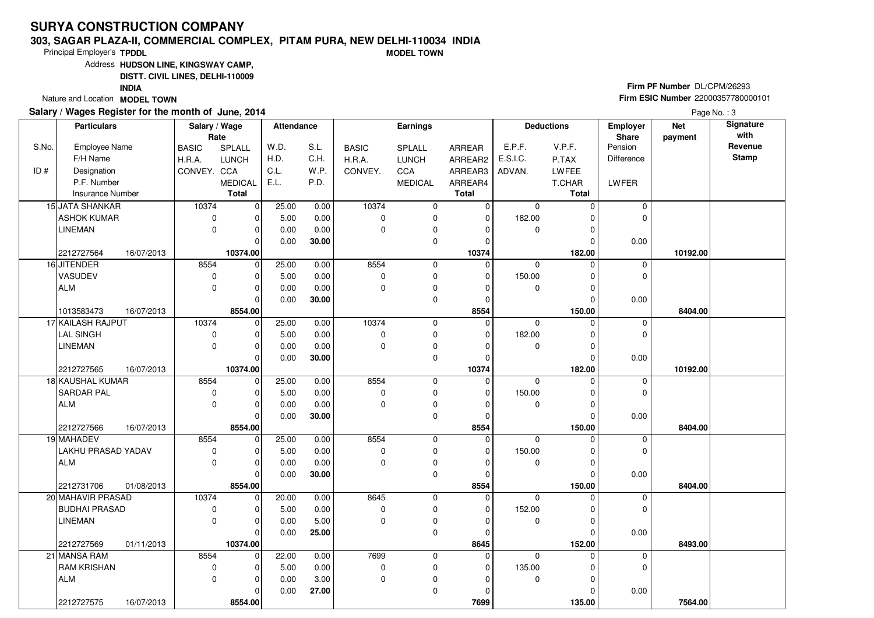#### **303, SAGAR PLAZA-II, COMMERCIAL COMPLEX, PITAM PURA, NEW DELHI-110034 INDIAMODEL TOWN**

Principal Employer's**TPDDL**

Address**HUDSON LINE, KINGSWAY CAMP,**

**DISTT. CIVIL LINES, DELHI-110009**

**INDIA**

Nature and Location **MODEL TOWN** 

### **Salary / Wages Register for the month of June, 2014**

**Firm PF Number** DL/CPM/26293 **Firm ESIC Number** <sup>22000357780000101</sup>

|       | <b>Particulars</b>               | Salary / Wage | Rate           | <b>Attendance</b> |       |              | <b>Earnings</b>          |              |             | <b>Deductions</b>    | Employer<br>Share | <b>Net</b><br>payment | Signature<br>with |
|-------|----------------------------------|---------------|----------------|-------------------|-------|--------------|--------------------------|--------------|-------------|----------------------|-------------------|-----------------------|-------------------|
| S.No. | Employee Name                    | <b>BASIC</b>  | SPLALL         | W.D.              | S.L.  | <b>BASIC</b> | SPLALL                   | ARREAR       | E.P.F.      | V.P.F.               | Pension           |                       | Revenue           |
|       | F/H Name                         | H.R.A.        | <b>LUNCH</b>   | H.D.              | C.H.  | H.R.A.       | <b>LUNCH</b>             | ARREAR2      | E.S.I.C.    | P.TAX                | Difference        |                       | <b>Stamp</b>      |
| ID#   | Designation                      | CONVEY. CCA   |                | C.L.              | W.P.  | CONVEY.      | CCA                      | ARREAR3      | ADVAN.      | LWFEE                |                   |                       |                   |
|       | P.F. Number                      |               | <b>MEDICAL</b> | E.L.              | P.D.  |              | <b>MEDICAL</b>           | ARREAR4      |             | T.CHAR               | LWFER             |                       |                   |
|       | Insurance Number                 |               | <b>Total</b>   |                   |       |              |                          | <b>Total</b> |             | <b>Total</b>         |                   |                       |                   |
|       | 15 JATA SHANKAR                  | 10374         | 0              | 25.00             | 0.00  | 10374        | 0                        | $\mathbf 0$  | $\mathbf 0$ | $\Omega$             | $\mathbf 0$       |                       |                   |
|       | <b>ASHOK KUMAR</b>               | 0             | $\Omega$       | 5.00              | 0.00  | $\mathbf 0$  | 0                        | 0            | 182.00      | 0                    | 0                 |                       |                   |
|       | <b>LINEMAN</b>                   | 0             | $\Omega$       | 0.00              | 0.00  | $\Omega$     | 0                        | $\Omega$     | 0           | $\Omega$             |                   |                       |                   |
|       |                                  |               | 0              | 0.00              | 30.00 |              | 0                        | 0            |             | 0                    | 0.00              |                       |                   |
|       | 2212727564<br>16/07/2013         |               | 10374.00       |                   |       |              |                          | 10374        |             | 182.00               |                   | 10192.00              |                   |
|       | 16 JITENDER                      | 8554          | 0              | 25.00             | 0.00  | 8554         | 0                        | $\mathbf 0$  | $\mathbf 0$ | $\Omega$             | $\mathbf 0$       |                       |                   |
|       | VASUDEV                          | 0             | $\Omega$       | 5.00              | 0.00  | $\Omega$     | 0                        | $\mathbf 0$  | 150.00      | $\Omega$             | 0                 |                       |                   |
|       | <b>ALM</b>                       | 0             | $\Omega$       | 0.00              | 0.00  | $\Omega$     | 0                        | $\Omega$     | 0           | $\Omega$             |                   |                       |                   |
|       |                                  |               | $\Omega$       | 0.00              | 30.00 |              | 0                        | 0            |             | $\Omega$             | 0.00              |                       |                   |
|       | 1013583473<br>16/07/2013         |               | 8554.00        |                   |       |              |                          | 8554         |             | 150.00               |                   | 8404.00               |                   |
|       | 17 KAILASH RAJPUT                | 10374         | $\Omega$       | 25.00             | 0.00  | 10374        | 0                        | $\mathbf 0$  | $\Omega$    | $\Omega$             | $\mathbf 0$       |                       |                   |
|       | <b>LAL SINGH</b>                 | 0             | 0              | 5.00              | 0.00  | $\Omega$     | 0                        | 0            | 182.00      | $\Omega$             | $\Omega$          |                       |                   |
|       | <b>LINEMAN</b>                   | 0             | $\Omega$       | 0.00              | 0.00  | $\Omega$     | $\pmb{0}$                | $\Omega$     | 0           | $\Omega$             |                   |                       |                   |
|       |                                  |               | $\Omega$       | 0.00              | 30.00 |              | 0                        | $\mathbf 0$  |             | $\Omega$             | 0.00              |                       |                   |
|       | 2212727565<br>16/07/2013         |               | 10374.00       |                   |       |              |                          | 10374        |             | 182.00               |                   | 10192.00              |                   |
|       | <b>18 KAUSHAL KUMAR</b>          | 8554          | $\mathbf 0$    | 25.00             | 0.00  | 8554         | 0                        | 0            | $\mathbf 0$ | $\Omega$             | $\mathbf 0$       |                       |                   |
|       | <b>SARDAR PAL</b>                | 0             | $\Omega$       | 5.00              | 0.00  | 0            | 0                        | 0            | 150.00      | $\Omega$             | $\Omega$          |                       |                   |
|       | <b>ALM</b>                       | 0             | 0              | 0.00              | 0.00  | 0            | $\pmb{0}$                | 0            | 0           | 0                    |                   |                       |                   |
|       |                                  |               | $\Omega$       | 0.00              | 30.00 |              | 0                        | $\mathbf 0$  |             | $\Omega$             | 0.00              |                       |                   |
|       | 2212727566<br>16/07/2013         |               | 8554.00        |                   |       |              |                          | 8554         |             | 150.00               |                   | 8404.00               |                   |
|       | 19 MAHADEV                       | 8554          | $\Omega$       | 25.00             | 0.00  | 8554         | 0                        | $\mathbf 0$  | $\Omega$    | $\Omega$             | 0                 |                       |                   |
|       | LAKHU PRASAD YADAV               | 0             | U              | 5.00              | 0.00  | 0            | 0                        | 0            | 150.00      | $\Omega$             | $\Omega$          |                       |                   |
|       | <b>ALM</b>                       | 0             | $\Omega$       | 0.00              | 0.00  | 0            | 0                        | $\mathbf 0$  | 0           | $\Omega$             |                   |                       |                   |
|       |                                  |               | $\Omega$       | 0.00              | 30.00 |              | $\mathbf 0$              | $\mathbf 0$  |             | $\Omega$             | 0.00              |                       |                   |
|       | 2212731706<br>01/08/2013         |               | 8554.00        |                   |       |              |                          | 8554         |             | 150.00               |                   | 8404.00               |                   |
|       | 20 MAHAVIR PRASAD                | 10374         | $\mathbf 0$    | 20.00             | 0.00  | 8645         | 0                        | $\mathbf 0$  | $\Omega$    | $\Omega$             | 0                 |                       |                   |
|       | <b>BUDHAI PRASAD</b>             | 0             | $\Omega$       | 5.00              | 0.00  | $\mathbf 0$  | 0                        | 0            | 152.00      | $\Omega$             | $\mathbf 0$       |                       |                   |
|       | <b>LINEMAN</b>                   | 0             | $\Omega$       | 0.00              | 5.00  | $\mathbf 0$  | $\pmb{0}$<br>$\mathbf 0$ | $\mathbf 0$  | 0           | $\Omega$<br>$\Omega$ |                   |                       |                   |
|       |                                  |               | $\Omega$       | 0.00              | 25.00 |              |                          | $\mathbf 0$  |             |                      | 0.00              |                       |                   |
|       | 01/11/2013<br>2212727569         | 8554          | 10374.00       |                   |       |              |                          | 8645         |             | 152.00               |                   | 8493.00               |                   |
|       | 21 MANSA RAM                     |               | $\mathbf 0$    | 22.00             | 0.00  | 7699         | 0                        | $\mathbf 0$  | $\Omega$    | $\Omega$             | 0                 |                       |                   |
|       | <b>RAM KRISHAN</b><br><b>ALM</b> | 0             | 0              | 5.00              | 0.00  | $\mathbf 0$  | 0                        | 0            | 135.00      | $\Omega$             | $\mathbf 0$       |                       |                   |
|       |                                  | 0             | $\Omega$       | 0.00              | 3.00  | $\mathbf 0$  | $\pmb{0}$                | $\mathbf 0$  | 0           | $\Omega$             |                   |                       |                   |
|       |                                  |               | 0              | 0.00              | 27.00 |              | $\mathbf 0$              | $\mathbf 0$  |             | $\Omega$             | 0.00              |                       |                   |
|       | 2212727575<br>16/07/2013         |               | 8554.00        |                   |       |              |                          | 7699         |             | 135.00               |                   | 7564.00               |                   |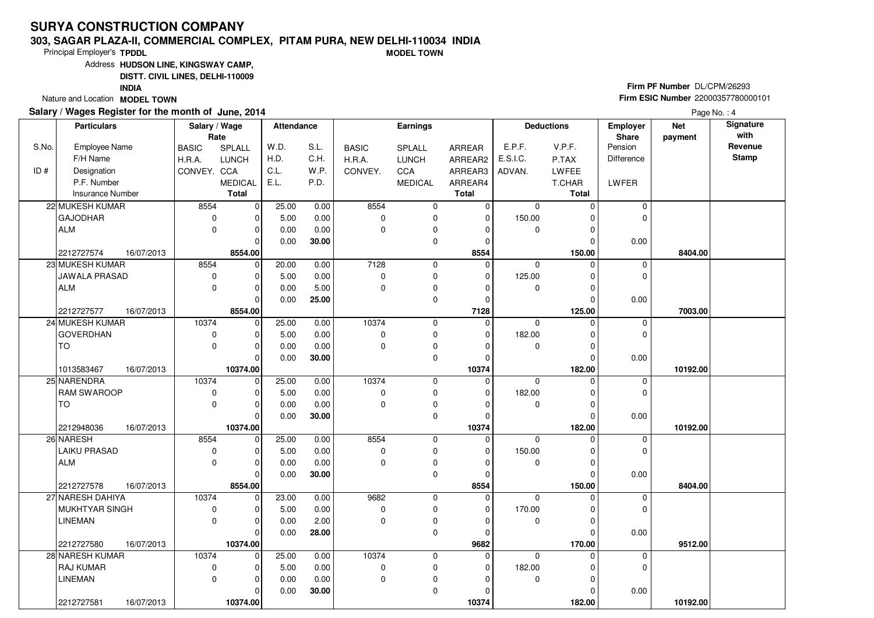#### **303, SAGAR PLAZA-II, COMMERCIAL COMPLEX, PITAM PURA, NEW DELHI-110034 INDIAMODEL TOWN**

Principal Employer's**TPDDL**

Address**HUDSON LINE, KINGSWAY CAMP,**

**DISTT. CIVIL LINES, DELHI-110009**

**INDIA**

Nature and Location **MODEL TOWN** 

### **Salary / Wages Register for the month of June, 2014**

**Firm PF Number** DL/CPM/26293 **Firm ESIC Number** <sup>22000357780000101</sup>

|       | <b>Particulars</b>                        | Salary / Wage        | Rate                 | <b>Attendance</b> |              |               | <b>Earnings</b> |                  |                       | <b>Deductions</b>  | Employer<br>Share | <b>Net</b><br>payment | Signature<br>with |
|-------|-------------------------------------------|----------------------|----------------------|-------------------|--------------|---------------|-----------------|------------------|-----------------------|--------------------|-------------------|-----------------------|-------------------|
| S.No. | <b>Employee Name</b>                      | <b>BASIC</b>         | SPLALL               | W.D.              | S.L.         | <b>BASIC</b>  | SPLALL          | ARREAR           | E.P.F.                | V.P.F.             | Pension           |                       | Revenue           |
|       | F/H Name                                  | H.R.A.               | <b>LUNCH</b>         | H.D.              | C.H.         | H.R.A.        | <b>LUNCH</b>    | ARREAR2          | E.S.I.C.              | P.TAX              | <b>Difference</b> |                       | <b>Stamp</b>      |
| ID#   | Designation                               | CONVEY. CCA          |                      | C.L.              | W.P.         | CONVEY.       | CCA             | ARREAR3          | ADVAN.                | LWFEE              |                   |                       |                   |
|       | P.F. Number                               |                      | <b>MEDICAL</b>       | E.L.              | P.D.         |               | <b>MEDICAL</b>  | ARREAR4          |                       | T.CHAR             | LWFER             |                       |                   |
|       | <b>Insurance Number</b>                   |                      | <b>Total</b>         |                   |              |               |                 | <b>Total</b>     |                       | <b>Total</b>       |                   |                       |                   |
|       | 22 MUKESH KUMAR                           | 8554                 | 0                    | 25.00             | 0.00         | 8554          | 0               | $\mathbf 0$      | $\mathbf 0$           | $\Omega$           | $\mathbf 0$       |                       |                   |
|       | <b>GAJODHAR</b>                           | $\mathbf 0$          | 0                    | 5.00              | 0.00         | 0             | 0               | $\mathbf{0}$     | 150.00                |                    | $\mathbf 0$       |                       |                   |
|       | <b>ALM</b>                                | $\mathbf 0$          | $\Omega$             | 0.00              | 0.00         | $\Omega$      | 0               | $\Omega$         | 0                     | $\Omega$           |                   |                       |                   |
|       |                                           |                      | $\Omega$             | 0.00              | 30.00        |               | 0               | $\Omega$         |                       | $\Omega$           | 0.00              |                       |                   |
|       | 16/07/2013<br>2212727574                  |                      | 8554.00              |                   |              |               |                 | 8554             |                       | 150.00             |                   | 8404.00               |                   |
|       | 23 MUKESH KUMAR                           | 8554                 | 0                    | 20.00             | 0.00         | 7128          | 0               | $\mathbf 0$      | 0                     | $\Omega$           | 0                 |                       |                   |
|       | <b>JAWALA PRASAD</b>                      | $\mathbf 0$          | $\Omega$             | 5.00              | 0.00         | 0             | 0               | $\Omega$         | 125.00                |                    | $\mathbf 0$       |                       |                   |
|       | <b>ALM</b>                                | $\mathbf 0$          | O                    | 0.00              | 5.00         | $\Omega$      | 0               | $\Omega$         | $\mathbf 0$           |                    |                   |                       |                   |
|       |                                           |                      | $\Omega$             | 0.00              | 25.00        |               | 0               | $\mathbf{0}$     |                       | $\Omega$           | 0.00              |                       |                   |
|       | 2212727577<br>16/07/2013                  |                      | 8554.00              |                   |              |               |                 | 7128             |                       | 125.00             |                   | 7003.00               |                   |
|       | 24 MUKESH KUMAR                           | 10374                | $\Omega$             | 25.00             | 0.00         | 10374         | 0               | $\mathbf 0$      | $\Omega$              | $\Omega$           | $\mathbf 0$       |                       |                   |
|       | <b>GOVERDHAN</b>                          | 0                    |                      | 5.00              | 0.00         | 0             | 0               | $\Omega$         | 182.00                |                    | $\mathbf 0$       |                       |                   |
|       | <b>TO</b>                                 | 0                    | $\Omega$             | 0.00              | 0.00         | $\Omega$      | 0               | $\Omega$         | $\mathbf 0$           | ∩                  |                   |                       |                   |
|       |                                           |                      | $\Omega$             | 0.00              | 30.00        |               | 0               | $\Omega$         |                       | $\sqrt{ }$         | 0.00              |                       |                   |
|       | 1013583467<br>16/07/2013                  |                      | 10374.00             |                   |              |               |                 | 10374            |                       | 182.00             |                   | 10192.00              |                   |
|       | 25 NARENDRA                               | 10374                | $\Omega$             | 25.00             | 0.00         | 10374         | 0               | $\Omega$         | $\Omega$              | $\Omega$           | $\mathbf 0$       |                       |                   |
|       | <b>RAM SWAROOP</b>                        | 0                    | $\Omega$             | 5.00              | 0.00         | 0             | 0               | $\Omega$         | 182.00                |                    | $\mathbf 0$       |                       |                   |
|       | <b>TO</b>                                 | $\mathbf 0$          | $\Omega$             | 0.00              | 0.00         | $\Omega$      | 0               | $\Omega$         | 0                     |                    |                   |                       |                   |
|       |                                           |                      | $\Omega$             | 0.00              | 30.00        |               | 0               | ŋ                |                       |                    | 0.00              |                       |                   |
|       | 2212948036<br>16/07/2013                  |                      | 10374.00             |                   |              | 8554          |                 | 10374            |                       | 182.00             |                   | 10192.00              |                   |
|       | 26 NARESH<br><b>LAIKU PRASAD</b>          | 8554                 | $\Omega$             | 25.00             | 0.00         |               | 0               | $\Omega$         | $\Omega$              |                    | $\mathbf 0$       |                       |                   |
|       |                                           | $\mathbf 0$          | <sup>0</sup>         | 5.00              | 0.00         | 0<br>$\Omega$ | 0               | $\Omega$         | 150.00                |                    | $\Omega$          |                       |                   |
|       | <b>ALM</b>                                | $\mathbf 0$          | $\Omega$<br>$\Omega$ | 0.00              | 0.00         |               | 0               | $\Omega$         | 0                     | $\Omega$           |                   |                       |                   |
|       |                                           |                      |                      | 0.00              | 30.00        |               | 0               | $\Omega$         |                       | $\Omega$           | 0.00              |                       |                   |
|       | 2212727578<br>16/07/2013                  |                      | 8554.00<br>$\Omega$  |                   |              |               |                 | 8554<br>$\Omega$ |                       | 150.00<br>O        |                   | 8404.00               |                   |
|       | 27 NARESH DAHIYA<br><b>MUKHTYAR SINGH</b> | 10374<br>$\mathbf 0$ | $\Omega$             | 23.00<br>5.00     | 0.00<br>0.00 | 9682<br>0     | 0<br>0          | $\Omega$         | $\mathbf 0$<br>170.00 |                    | 0<br>$\mathbf 0$  |                       |                   |
|       |                                           | $\mathbf 0$          |                      |                   |              | $\Omega$      |                 | $\Omega$         |                       |                    |                   |                       |                   |
|       | <b>LINEMAN</b>                            |                      | 0<br>$\Omega$        | 0.00              | 2.00         |               | 0               |                  | 0                     |                    |                   |                       |                   |
|       | 16/07/2013                                |                      | 10374.00             | 0.00              | 28.00        |               | 0               | $\Omega$<br>9682 |                       | $\Omega$<br>170.00 | 0.00              | 9512.00               |                   |
|       | 2212727580<br>28 NARESH KUMAR             | 10374                | $\Omega$             | 25.00             | 0.00         | 10374         | 0               | 0                | $\Omega$              |                    | $\mathbf 0$       |                       |                   |
|       | <b>RAJ KUMAR</b>                          | $\mathbf 0$          | $\Omega$             | 5.00              | 0.00         | 0             | 0               | $\Omega$         | 182.00                |                    | $\mathbf 0$       |                       |                   |
|       | <b>LINEMAN</b>                            | $\Omega$             |                      |                   | 0.00         | $\Omega$      |                 | O                |                       | ∩                  |                   |                       |                   |
|       |                                           |                      | $\Omega$             | 0.00              |              |               | 0<br>0          | ŋ                | 0                     |                    |                   |                       |                   |
|       |                                           |                      | $\Omega$             | 0.00              | 30.00        |               |                 |                  |                       |                    | 0.00              |                       |                   |
|       | 2212727581<br>16/07/2013                  |                      | 10374.00             |                   |              |               |                 | 10374            |                       | 182.00             |                   | 10192.00              |                   |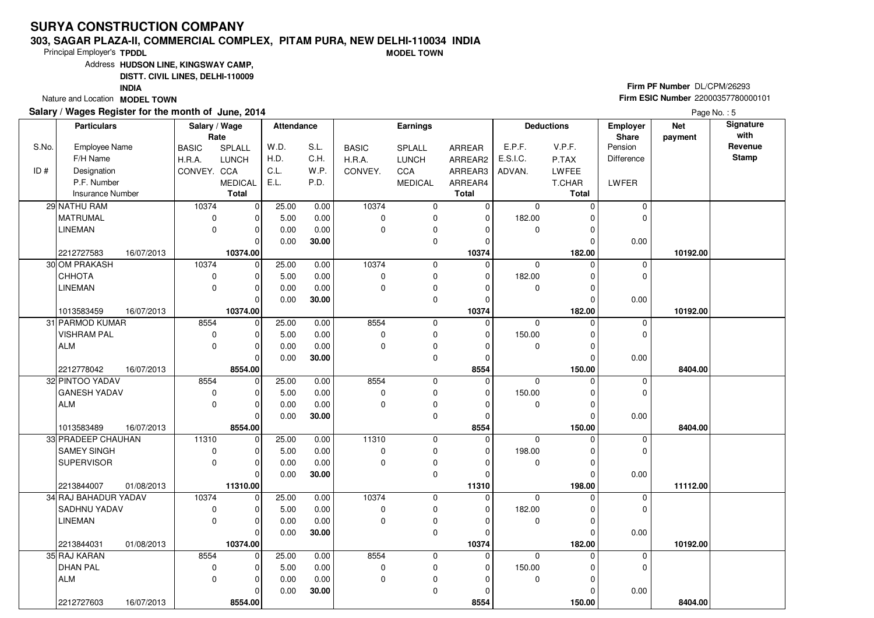#### **303, SAGAR PLAZA-II, COMMERCIAL COMPLEX, PITAM PURA, NEW DELHI-110034 INDIAMODEL TOWN**

Principal Employer's**TPDDL**

Address**HUDSON LINE, KINGSWAY CAMP,**

**DISTT. CIVIL LINES, DELHI-110009**

**INDIA**

Nature and Location **MODEL TOWN** 

### **Salary / Wages Register for the month of June, 2014**

**Firm PF Number** DL/CPM/26293 **Firm ESIC Number** <sup>22000357780000101</sup>

|       | <b>Particulars</b>       | Salary / Wage<br>Rate |                | Attendance |       |              | <b>Earnings</b> |                |             | <b>Deductions</b> | <b>Employer</b><br>Share | <b>Net</b><br>payment | Signature<br>with |
|-------|--------------------------|-----------------------|----------------|------------|-------|--------------|-----------------|----------------|-------------|-------------------|--------------------------|-----------------------|-------------------|
| S.No. | <b>Employee Name</b>     | <b>BASIC</b>          | SPLALL         | W.D.       | S.L.  | <b>BASIC</b> | SPLALL          | ARREAR         | E.P.F.      | V.P.F.            | Pension                  |                       | Revenue           |
|       | F/H Name                 | H.R.A.                | <b>LUNCH</b>   | H.D.       | C.H.  | H.R.A.       | <b>LUNCH</b>    | ARREAR2        | E.S.I.C.    | P.TAX             | Difference               |                       | <b>Stamp</b>      |
| ID#   | Designation              | CONVEY. CCA           |                | C.L.       | W.P.  | CONVEY.      | CCA             | ARREAR3        | ADVAN.      | <b>LWFEE</b>      |                          |                       |                   |
|       | P.F. Number              |                       | <b>MEDICAL</b> | E.L.       | P.D.  |              | <b>MEDICAL</b>  | ARREAR4        |             | T.CHAR            | LWFER                    |                       |                   |
|       | <b>Insurance Number</b>  |                       | <b>Total</b>   |            |       |              |                 | <b>Total</b>   |             | <b>Total</b>      |                          |                       |                   |
|       | 29 NATHU RAM             | 10374                 | 0              | 25.00      | 0.00  | 10374        | 0               | $\mathbf 0$    | $\mathbf 0$ | $\Omega$          | 0                        |                       |                   |
|       | <b>MATRUMAL</b>          | 0                     | $\Omega$       | 5.00       | 0.00  | $\Omega$     | 0               | 0              | 182.00      |                   | $\Omega$                 |                       |                   |
|       | <b>LINEMAN</b>           | 0                     | $\Omega$       | 0.00       | 0.00  | $\Omega$     | 0               | $\Omega$       | $\mathbf 0$ | ŋ                 |                          |                       |                   |
|       |                          |                       | $\Omega$       | 0.00       | 30.00 |              | 0               | $\Omega$       |             | O                 | 0.00                     |                       |                   |
|       | 2212727583<br>16/07/2013 |                       | 10374.00       |            |       |              |                 | 10374          |             | 182.00            |                          | 10192.00              |                   |
|       | 30 OM PRAKASH            | 10374                 | 0              | 25.00      | 0.00  | 10374        | 0               | $\Omega$       | $\mathbf 0$ | $\Omega$          | $\mathbf 0$              |                       |                   |
|       | СННОТА                   | 0                     | $\Omega$       | 5.00       | 0.00  | $\Omega$     | 0               | $\mathbf 0$    | 182.00      | O                 | $\Omega$                 |                       |                   |
|       | <b>LINEMAN</b>           | 0                     | $\Omega$       | 0.00       | 0.00  | $\Omega$     | 0               | $\Omega$       | $\mathbf 0$ | ŋ                 |                          |                       |                   |
|       |                          |                       | $\Omega$       | 0.00       | 30.00 |              | $\mathbf 0$     | 0              |             | O                 | 0.00                     |                       |                   |
|       | 1013583459<br>16/07/2013 |                       | 10374.00       |            |       |              |                 | 10374          |             | 182.00            |                          | 10192.00              |                   |
|       | 31 PARMOD KUMAR          | 8554                  | $\mathbf 0$    | 25.00      | 0.00  | 8554         | 0               | $\mathbf 0$    | $\Omega$    | $\Omega$          | $\mathbf 0$              |                       |                   |
|       | <b>VISHRAM PAL</b>       | 0                     | 0              | 5.00       | 0.00  | 0            | 0               | 0              | 150.00      | O                 | $\Omega$                 |                       |                   |
|       | <b>ALM</b>               | 0                     | $\Omega$       | 0.00       | 0.00  | $\Omega$     | 0               | $\Omega$       | 0           | O                 |                          |                       |                   |
|       |                          |                       | $\Omega$       | 0.00       | 30.00 |              | 0               | $\mathbf 0$    |             | $\Omega$          | 0.00                     |                       |                   |
|       | 2212778042<br>16/07/2013 |                       | 8554.00        |            |       |              |                 | 8554           |             | 150.00            |                          | 8404.00               |                   |
|       | 32 PINTOO YADAV          | 8554                  | 0              | 25.00      | 0.00  | 8554         | 0               | $\overline{0}$ | $\mathbf 0$ | $\Omega$          | $\mathbf 0$              |                       |                   |
|       | <b>GANESH YADAV</b>      | 0                     | $\Omega$       | 5.00       | 0.00  | $\Omega$     | 0               | 0              | 150.00      | O                 | $\Omega$                 |                       |                   |
|       | <b>ALM</b>               | 0                     | 0              | 0.00       | 0.00  | $\Omega$     | $\pmb{0}$       | $\Omega$       | 0           | 0                 |                          |                       |                   |
|       |                          |                       | $\Omega$       | 0.00       | 30.00 |              | $\mathbf 0$     | $\Omega$       |             | $\Omega$          | 0.00                     |                       |                   |
|       | 16/07/2013<br>1013583489 |                       | 8554.00        |            |       |              |                 | 8554           |             | 150.00            |                          | 8404.00               |                   |
|       | 33 PRADEEP CHAUHAN       | 11310                 | $\Omega$       | 25.00      | 0.00  | 11310        | 0               | $\mathbf 0$    | $\Omega$    | ŋ                 | $\mathbf 0$              |                       |                   |
|       | <b>SAMEY SINGH</b>       | 0                     | 0              | 5.00       | 0.00  | $\Omega$     | 0               | $\Omega$       | 198.00      | O                 | $\Omega$                 |                       |                   |
|       | <b>SUPERVISOR</b>        | 0                     | $\Omega$       | 0.00       | 0.00  | $\Omega$     | 0               | $\Omega$       | 0           | 0                 |                          |                       |                   |
|       |                          |                       | $\Omega$       | 0.00       | 30.00 |              | $\mathbf 0$     | $\Omega$       |             | $\Omega$          | 0.00                     |                       |                   |
|       | 2213844007<br>01/08/2013 |                       | 11310.00       |            |       |              |                 | 11310          |             | 198.00            |                          | 11112.00              |                   |
|       | 34 RAJ BAHADUR YADAV     | 10374                 | 0              | 25.00      | 0.00  | 10374        | 0               | $\Omega$       | $\Omega$    | $\Omega$          | 0                        |                       |                   |
|       | SADHNU YADAV             | 0                     | 0              | 5.00       | 0.00  | 0            | 0               | 0              | 182.00      | O                 | $\mathbf 0$              |                       |                   |
|       | <b>LINEMAN</b>           | 0                     | $\Omega$       | 0.00       | 0.00  | 0            | $\pmb{0}$       | $\Omega$       | 0           | 0                 |                          |                       |                   |
|       |                          |                       | $\Omega$       | 0.00       | 30.00 |              | $\mathbf 0$     | $\Omega$       |             | $\Omega$          | 0.00                     |                       |                   |
|       | 2213844031<br>01/08/2013 |                       | 10374.00       |            |       |              |                 | 10374          |             | 182.00            |                          | 10192.00              |                   |
|       | 35 RAJ KARAN             | 8554                  | 0              | 25.00      | 0.00  | 8554         | 0               | $\mathbf 0$    | $\Omega$    | $\Omega$          | 0                        |                       |                   |
|       | <b>DHAN PAL</b>          | 0                     | 0              | 5.00       | 0.00  | 0            | 0               | 0              | 150.00      | 0                 | $\mathbf 0$              |                       |                   |
|       | <b>ALM</b>               | 0                     | $\Omega$       | 0.00       | 0.00  | $\mathbf 0$  | $\pmb{0}$       | $\Omega$       | $\mathbf 0$ | O                 |                          |                       |                   |
|       |                          |                       | 0              | 0.00       | 30.00 |              | $\mathbf 0$     | $\Omega$       |             |                   | 0.00                     |                       |                   |
|       | 2212727603<br>16/07/2013 |                       | 8554.00        |            |       |              |                 | 8554           |             | 150.00            |                          | 8404.00               |                   |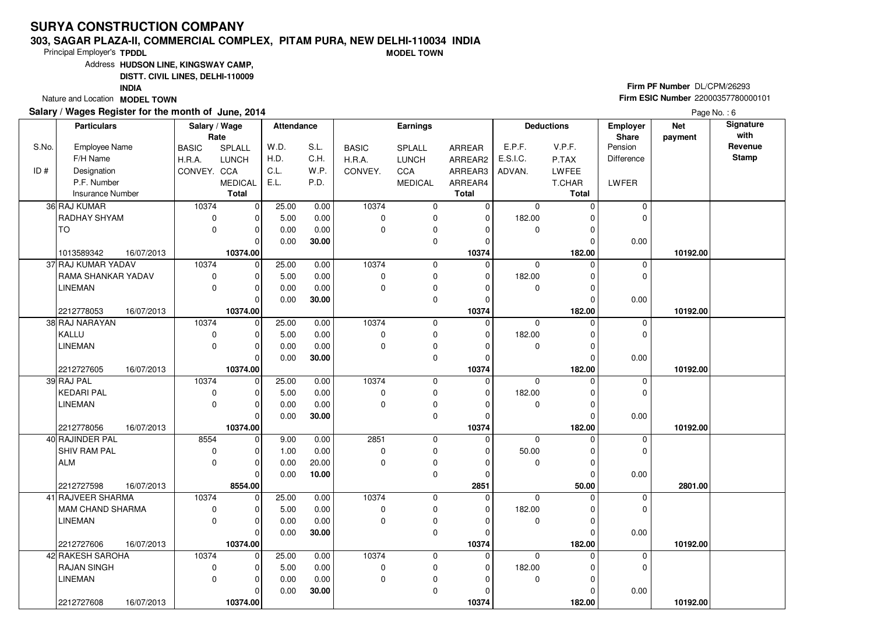#### **303, SAGAR PLAZA-II, COMMERCIAL COMPLEX, PITAM PURA, NEW DELHI-110034 INDIAMODEL TOWN**

Principal Employer's**TPDDL**

Address**HUDSON LINE, KINGSWAY CAMP,**

**DISTT. CIVIL LINES, DELHI-110009**

**INDIA**

Nature and Location **MODEL TOWN** 

### **Salary / Wages Register for the month of June, 2014**

**Firm PF Number** DL/CPM/26293 **Firm ESIC Number** <sup>22000357780000101</sup>

|       | <b>Particulars</b>       | Salary / Wage<br>Rate |                | <b>Attendance</b> |       |              | Earnings       |                |             | <b>Deductions</b> | Employer<br>Share | <b>Net</b><br>payment | Signature<br>with |
|-------|--------------------------|-----------------------|----------------|-------------------|-------|--------------|----------------|----------------|-------------|-------------------|-------------------|-----------------------|-------------------|
| S.No. | <b>Employee Name</b>     | <b>BASIC</b>          | SPLALL         | W.D.              | S.L.  | <b>BASIC</b> | <b>SPLALL</b>  | ARREAR         | E.P.F.      | V.P.F.            | Pension           |                       | Revenue           |
|       | F/H Name                 | H.R.A.                | LUNCH          | H.D.              | C.H.  | H.R.A.       | <b>LUNCH</b>   | ARREAR2        | E.S.I.C.    | P.TAX             | <b>Difference</b> |                       | <b>Stamp</b>      |
| ID#   | Designation              | CONVEY. CCA           |                | C.L.              | W.P.  | CONVEY.      | CCA            | ARREAR3        | ADVAN.      | LWFEE             |                   |                       |                   |
|       | P.F. Number              |                       | <b>MEDICAL</b> | E.L.              | P.D.  |              | <b>MEDICAL</b> | ARREAR4        |             | T.CHAR            | LWFER             |                       |                   |
|       | <b>Insurance Number</b>  |                       | <b>Total</b>   |                   |       |              |                | <b>Total</b>   |             | <b>Total</b>      |                   |                       |                   |
|       | 36 RAJ KUMAR             | 10374                 | 0              | 25.00             | 0.00  | 10374        | $\pmb{0}$      | $\overline{0}$ | $\mathbf 0$ | $\Omega$          | $\mathbf 0$       |                       |                   |
|       | RADHAY SHYAM             | 0                     | ŋ              | 5.00              | 0.00  | $\mathbf 0$  | 0              | $\mathbf 0$    | 182.00      | 0                 | $\Omega$          |                       |                   |
|       | TO                       | $\mathbf 0$           | $\Omega$       | 0.00              | 0.00  | $\Omega$     | 0              | $\Omega$       | $\mathbf 0$ | 0                 |                   |                       |                   |
|       |                          |                       | $\Omega$       | 0.00              | 30.00 |              | 0              | $\Omega$       |             | $\Omega$          | 0.00              |                       |                   |
|       | 16/07/2013<br>1013589342 |                       | 10374.00       |                   |       |              |                | 10374          |             | 182.00            |                   | 10192.00              |                   |
|       | 37 RAJ KUMAR YADAV       | 10374                 | $\mathbf 0$    | 25.00             | 0.00  | 10374        | 0              | 0              | $\mathbf 0$ | $\Omega$          | 0                 |                       |                   |
|       | RAMA SHANKAR YADAV       | $\mathbf 0$           | $\Omega$       | 5.00              | 0.00  | $\mathbf 0$  | 0              | $\Omega$       | 182.00      | $\Omega$          | $\mathbf 0$       |                       |                   |
|       | <b>LINEMAN</b>           | $\Omega$              | $\Omega$       | 0.00              | 0.00  | $\Omega$     | 0              | O              | 0           | $\Omega$          |                   |                       |                   |
|       |                          |                       | $\Omega$       | 0.00              | 30.00 |              | 0              | $\Omega$       |             | $\Omega$          | 0.00              |                       |                   |
|       | 2212778053<br>16/07/2013 |                       | 10374.00       |                   |       |              |                | 10374          |             | 182.00            |                   | 10192.00              |                   |
|       | 38 RAJ NARAYAN           | 10374                 | $\Omega$       | 25.00             | 0.00  | 10374        | 0              | $\Omega$       | $\Omega$    | O                 | 0                 |                       |                   |
|       | KALLU                    | 0                     |                | 5.00              | 0.00  | 0            | 0              | 0              | 182.00      | 0                 | $\mathbf 0$       |                       |                   |
|       | <b>LINEMAN</b>           | $\mathbf 0$           | $\Omega$       | 0.00              | 0.00  | $\Omega$     | 0              | $\Omega$       | $\mathbf 0$ | $\Omega$          |                   |                       |                   |
|       |                          |                       | $\Omega$       | 0.00              | 30.00 |              | $\mathbf 0$    | $\Omega$       |             | $\Omega$          | 0.00              |                       |                   |
|       | 16/07/2013<br>2212727605 |                       | 10374.00       |                   |       |              |                | 10374          |             | 182.00            |                   | 10192.00              |                   |
|       | 39 RAJ PAL               | 10374                 | $\Omega$       | 25.00             | 0.00  | 10374        | 0              | $\Omega$       | $\Omega$    | $\Omega$          | $\mathbf 0$       |                       |                   |
|       | <b>KEDARI PAL</b>        | 0                     | $\Omega$       | 5.00              | 0.00  | $\mathbf 0$  | 0              | $\Omega$       | 182.00      | $\Omega$          | 0                 |                       |                   |
|       | <b>LINEMAN</b>           | $\mathbf 0$           | $\Omega$       | 0.00              | 0.00  | $\Omega$     | 0              | $\Omega$       | 0           | 0                 |                   |                       |                   |
|       |                          |                       | $\Omega$       | 0.00              | 30.00 |              | 0              | $\Omega$       |             | $\Omega$          | 0.00              |                       |                   |
|       | 2212778056<br>16/07/2013 |                       | 10374.00       |                   |       |              |                | 10374          |             | 182.00            |                   | 10192.00              |                   |
|       | 40 RAJINDER PAL          | 8554                  | $\Omega$       | 9.00              | 0.00  | 2851         | 0              | $\Omega$       | $\Omega$    | O                 | 0                 |                       |                   |
|       | <b>SHIV RAM PAL</b>      | 0                     | $\Omega$       | 1.00              | 0.00  | $\mathbf 0$  | 0              | $\Omega$       | 50.00       | $\Omega$          | $\Omega$          |                       |                   |
|       | <b>ALM</b>               | $\mathbf 0$           | $\Omega$       | 0.00              | 20.00 | $\Omega$     | 0              | $\Omega$       | 0           | $\Omega$          |                   |                       |                   |
|       |                          |                       | $\Omega$       | 0.00              | 10.00 |              | $\mathbf 0$    | $\Omega$       |             | $\Omega$          | 0.00              |                       |                   |
|       | 2212727598<br>16/07/2013 |                       | 8554.00        |                   |       |              |                | 2851           |             | 50.00             |                   | 2801.00               |                   |
|       | 41 RAJVEER SHARMA        | 10374                 | $\Omega$       | 25.00             | 0.00  | 10374        | 0              | 0              | $\mathbf 0$ | 0                 | 0                 |                       |                   |
|       | <b>MAM CHAND SHARMA</b>  | $\mathbf 0$           | $\Omega$       | 5.00              | 0.00  | $\mathbf 0$  | 0              | $\Omega$       | 182.00      | $\Omega$          | 0                 |                       |                   |
|       | LINEMAN                  | $\mathbf 0$           | $\Omega$       | 0.00              | 0.00  | $\mathbf 0$  | 0              | 0              | 0           | 0                 |                   |                       |                   |
|       |                          |                       | $\Omega$       | 0.00              | 30.00 |              | $\mathbf 0$    | $\Omega$       |             | $\Omega$          | 0.00              |                       |                   |
|       | 16/07/2013<br>2212727606 |                       | 10374.00       |                   |       |              |                | 10374          |             | 182.00            |                   | 10192.00              |                   |
|       | 42 RAKESH SAROHA         | 10374                 | $\Omega$       | 25.00             | 0.00  | 10374        | 0              | 0              | $\Omega$    | 0                 | 0                 |                       |                   |
|       | <b>RAJAN SINGH</b>       | $\mathbf 0$           | $\Omega$       | 5.00              | 0.00  | $\pmb{0}$    | 0              | 0              | 182.00      | 0                 | 0                 |                       |                   |
|       | <b>LINEMAN</b>           | $\Omega$              | $\Omega$       | 0.00              | 0.00  | $\mathbf 0$  | 0              | 0              | 0           | $\Omega$          |                   |                       |                   |
|       |                          |                       | $\Omega$       | 0.00              | 30.00 |              | 0              | $\Omega$       |             | 0                 | 0.00              |                       |                   |
|       | 2212727608<br>16/07/2013 |                       | 10374.00       |                   |       |              |                | 10374          |             | 182.00            |                   | 10192.00              |                   |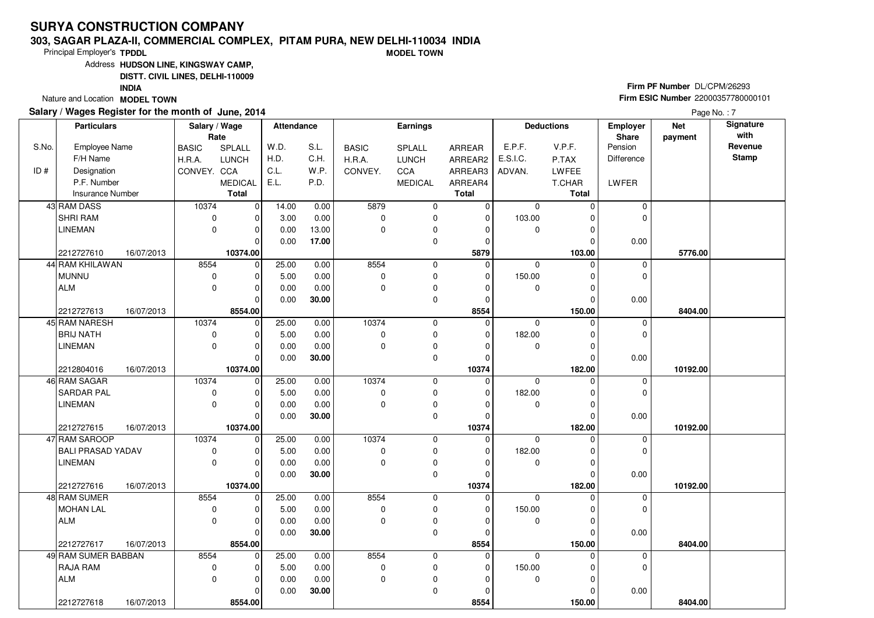#### **303, SAGAR PLAZA-II, COMMERCIAL COMPLEX, PITAM PURA, NEW DELHI-110034 INDIAMODEL TOWN**

Principal Employer's**TPDDL**

Address**HUDSON LINE, KINGSWAY CAMP,**

**DISTT. CIVIL LINES, DELHI-110009**

**INDIA**

Nature and Location **MODEL TOWN** 

### **Salary / Wages Register for the month of June, 2014**

**Firm PF Number** DL/CPM/26293 **Firm ESIC Number** <sup>22000357780000101</sup>

|       | <b>Particulars</b>       | Salary / Wage<br>Rate |                | <b>Attendance</b> |       |              | <b>Earnings</b> |              |             | <b>Deductions</b> | Employer<br>Share | <b>Net</b><br>payment | Signature<br>with |
|-------|--------------------------|-----------------------|----------------|-------------------|-------|--------------|-----------------|--------------|-------------|-------------------|-------------------|-----------------------|-------------------|
| S.No. | <b>Employee Name</b>     | <b>BASIC</b>          | SPLALL         | W.D.              | S.L.  | <b>BASIC</b> | SPLALL          | ARREAR       | E.P.F.      | V.P.F.            | Pension           |                       | Revenue           |
|       | F/H Name                 | H.R.A.                | <b>LUNCH</b>   | H.D.              | C.H.  | H.R.A.       | <b>LUNCH</b>    | ARREAR2      | E.S.I.C.    | P.TAX             | Difference        |                       | <b>Stamp</b>      |
| ID#   | Designation              | CONVEY. CCA           |                | C.L.              | W.P.  | CONVEY.      | CCA             | ARREAR3      | ADVAN.      | LWFEE             |                   |                       |                   |
|       | P.F. Number              |                       | <b>MEDICAL</b> | E.L.              | P.D.  |              | <b>MEDICAL</b>  | ARREAR4      |             | T.CHAR            | LWFER             |                       |                   |
|       | Insurance Number         |                       | <b>Total</b>   |                   |       |              |                 | <b>Total</b> |             | <b>Total</b>      |                   |                       |                   |
|       | 43 RAM DASS              | 10374                 | -o l           | 14.00             | 0.00  | 5879         | 0               | $\mathbf 0$  | $\mathbf 0$ | $\Omega$          | $\mathbf 0$       |                       |                   |
|       | <b>SHRI RAM</b>          | 0                     | $\Omega$       | 3.00              | 0.00  | $\mathbf 0$  | 0               | 0            | 103.00      | $\Omega$          | 0                 |                       |                   |
|       | <b>LINEMAN</b>           | 0                     | $\Omega$       | 0.00              | 13.00 | $\Omega$     | 0               | $\Omega$     | 0           | $\Omega$          |                   |                       |                   |
|       |                          |                       | 0              | 0.00              | 17.00 |              | 0               | 0            |             | 0                 | 0.00              |                       |                   |
|       | 2212727610<br>16/07/2013 |                       | 10374.00       |                   |       |              |                 | 5879         |             | 103.00            |                   | 5776.00               |                   |
|       | 44 RAM KHILAWAN          | 8554                  | 0              | 25.00             | 0.00  | 8554         | 0               | $\mathbf 0$  | $\mathbf 0$ | $\Omega$          | $\mathbf 0$       |                       |                   |
|       | <b>MUNNU</b>             | 0                     | $\Omega$       | 5.00              | 0.00  | $\mathbf 0$  | 0               | $\mathbf 0$  | 150.00      | $\Omega$          | 0                 |                       |                   |
|       | <b>ALM</b>               | 0                     | $\Omega$       | 0.00              | 0.00  | $\Omega$     | 0               | $\Omega$     | 0           | $\Omega$          |                   |                       |                   |
|       |                          |                       | $\Omega$       | 0.00              | 30.00 |              | 0               | 0            |             | $\Omega$          | 0.00              |                       |                   |
|       | 2212727613<br>16/07/2013 |                       | 8554.00        |                   |       |              |                 | 8554         |             | 150.00            |                   | 8404.00               |                   |
|       | 45 RAM NARESH            | 10374                 | $\mathbf 0$    | 25.00             | 0.00  | 10374        | 0               | $\mathbf 0$  | $\Omega$    | $\Omega$          | $\mathbf 0$       |                       |                   |
|       | <b>BRIJ NATH</b>         | 0                     | 0              | 5.00              | 0.00  | $\Omega$     | 0               | 0            | 182.00      | $\Omega$          | $\Omega$          |                       |                   |
|       | <b>LINEMAN</b>           | 0                     | $\Omega$       | 0.00              | 0.00  | $\Omega$     | $\pmb{0}$       | $\Omega$     | 0           | $\Omega$          |                   |                       |                   |
|       |                          |                       | $\Omega$       | 0.00              | 30.00 |              | 0               | $\mathbf 0$  |             | $\Omega$          | 0.00              |                       |                   |
|       | 2212804016<br>16/07/2013 |                       | 10374.00       |                   |       |              |                 | 10374        |             | 182.00            |                   | 10192.00              |                   |
|       | 46 RAM SAGAR             | 10374                 | $\mathbf 0$    | 25.00             | 0.00  | 10374        | 0               | 0            | $\mathbf 0$ | $\Omega$          | $\mathbf 0$       |                       |                   |
|       | <b>SARDAR PAL</b>        | 0                     | $\Omega$       | 5.00              | 0.00  | 0            | 0               | 0            | 182.00      | $\Omega$          | $\Omega$          |                       |                   |
|       | <b>LINEMAN</b>           | 0                     | 0              | 0.00              | 0.00  | 0            | $\pmb{0}$       | 0            | 0           | 0                 |                   |                       |                   |
|       |                          |                       | $\Omega$       | 0.00              | 30.00 |              | 0               | $\mathbf 0$  |             | $\Omega$          | 0.00              |                       |                   |
|       | 2212727615<br>16/07/2013 |                       | 10374.00       |                   |       |              |                 | 10374        |             | 182.00            |                   | 10192.00              |                   |
|       | 47 RAM SAROOP            | 10374                 | $\Omega$       | 25.00             | 0.00  | 10374        | 0               | $\mathbf 0$  | $\Omega$    | $\Omega$          | 0                 |                       |                   |
|       | <b>BALI PRASAD YADAV</b> | 0                     | U              | 5.00              | 0.00  | 0            | 0               | 0            | 182.00      | $\Omega$          | $\Omega$          |                       |                   |
|       | <b>LINEMAN</b>           | 0                     | $\Omega$       | 0.00              | 0.00  | 0            | 0               | 0            | 0           | $\Omega$          |                   |                       |                   |
|       |                          |                       | $\Omega$       | 0.00              | 30.00 |              | $\mathbf 0$     | $\mathbf 0$  |             | $\Omega$          | 0.00              |                       |                   |
|       | 2212727616<br>16/07/2013 |                       | 10374.00       |                   |       |              |                 | 10374        |             | 182.00            |                   | 10192.00              |                   |
|       | 48 RAM SUMER             | 8554                  | 0              | 25.00             | 0.00  | 8554         | 0               | $\mathbf 0$  | $\Omega$    | $\Omega$          | $\mathbf 0$       |                       |                   |
|       | <b>MOHAN LAL</b>         | 0                     | 0              | 5.00              | 0.00  | $\mathbf 0$  | 0               | 0            | 150.00      | $\Omega$          | $\mathbf 0$       |                       |                   |
|       | <b>ALM</b>               | 0                     | $\Omega$       | 0.00              | 0.00  | $\mathbf 0$  | $\pmb{0}$       | $\mathbf 0$  | 0           | $\Omega$          |                   |                       |                   |
|       |                          |                       | $\Omega$       | 0.00              | 30.00 |              | $\mathbf 0$     | $\mathbf 0$  |             | $\Omega$          | 0.00              |                       |                   |
|       | 2212727617<br>16/07/2013 |                       | 8554.00        |                   |       |              |                 | 8554         |             | 150.00            |                   | 8404.00               |                   |
|       | 49 RAM SUMER BABBAN      | 8554                  | $\mathbf 0$    | 25.00             | 0.00  | 8554         | 0               | $\mathbf 0$  | $\Omega$    | $\Omega$          | 0                 |                       |                   |
|       | <b>RAJA RAM</b>          | 0                     | 0              | 5.00              | 0.00  | $\mathbf 0$  | 0               | 0            | 150.00      | $\Omega$          | $\mathbf 0$       |                       |                   |
|       | <b>ALM</b>               | 0                     | $\Omega$       | 0.00              | 0.00  | $\mathbf 0$  | $\pmb{0}$       | $\mathbf 0$  | $\mathbf 0$ | $\Omega$          |                   |                       |                   |
|       |                          |                       | 0              | 0.00              | 30.00 |              | $\mathbf 0$     | $\mathbf 0$  |             | $\Omega$          | 0.00              |                       |                   |
|       | 2212727618<br>16/07/2013 |                       | 8554.00        |                   |       |              |                 | 8554         |             | 150.00            |                   | 8404.00               |                   |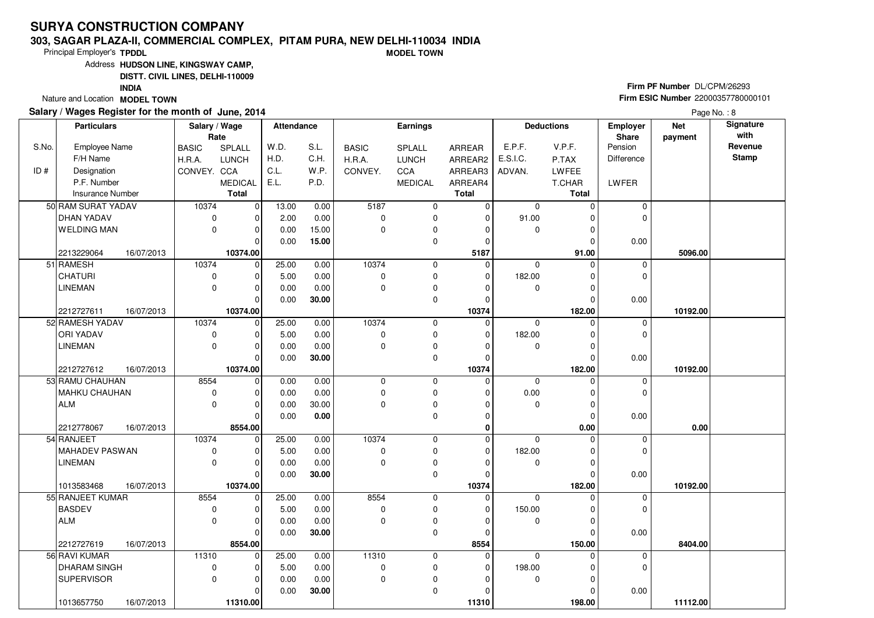#### **303, SAGAR PLAZA-II, COMMERCIAL COMPLEX, PITAM PURA, NEW DELHI-110034 INDIAMODEL TOWN**

Principal Employer's**TPDDL**

Address**HUDSON LINE, KINGSWAY CAMP,**

**DISTT. CIVIL LINES, DELHI-110009**

**INDIA**

Nature and Location **MODEL TOWN** 

### **Salary / Wages Register for the month of June, 2014**

**Firm PF Number** DL/CPM/26293 **Firm ESIC Number** <sup>22000357780000101</sup>

| Rate<br>Share<br>payment<br>S.No.<br>S.L.<br>E.P.F.<br>V.P.F.<br>Pension<br><b>Employee Name</b><br>SPLALL<br>W.D.<br><b>BASIC</b><br>SPLALL<br>ARREAR<br><b>BASIC</b><br>H.D.<br>C.H.<br>E.S.I.C.<br>F/H Name<br>H.R.A.<br>H.R.A.<br><b>LUNCH</b><br><b>LUNCH</b><br>ARREAR2<br>P.TAX<br><b>Difference</b><br>ID#<br>Designation<br>C.L.<br>W.P.<br>CONVEY. CCA<br>LWFEE<br>CONVEY.<br><b>CCA</b><br>ARREAR3<br>ADVAN.<br>P.F. Number<br>E.L.<br>P.D.<br><b>MEDICAL</b><br><b>MEDICAL</b><br>ARREAR4<br>T.CHAR<br>LWFER<br><b>Total</b><br><b>Insurance Number</b><br><b>Total</b><br><b>Total</b><br>50 RAM SURAT YADAV<br> 0 <br>5187<br>10374<br>13.00<br>0.00<br>$\overline{0}$<br>$\mathbf 0$<br>$\mathbf 0$<br>0<br>$\Omega$<br><b>DHAN YADAV</b><br>2.00<br>0.00<br>91.00<br>0<br>$\Omega$<br>0<br>$\Omega$<br>$\Omega$<br>$\Omega$<br>O<br><b>WELDING MAN</b><br>$\mathbf 0$<br>0.00<br>15.00<br>0<br>$\mathbf 0$<br>$\mathbf 0$<br>$\Omega$<br>$\Omega$<br>0<br>0<br>0.00<br>15.00<br>0.00<br>$\Omega$<br>$\Omega$<br>$\Omega$<br>10374.00<br>5187<br>2213229064<br>16/07/2013<br>91.00<br>5096.00<br>25.00<br>10374<br>51 RAMESH<br>10374<br>$\mathbf 0$<br>0.00<br>$\mathbf 0$<br>0<br>$\mathbf 0$<br>$\Omega$<br>$\mathbf 0$ | Revenue<br><b>Stamp</b> |
|-------------------------------------------------------------------------------------------------------------------------------------------------------------------------------------------------------------------------------------------------------------------------------------------------------------------------------------------------------------------------------------------------------------------------------------------------------------------------------------------------------------------------------------------------------------------------------------------------------------------------------------------------------------------------------------------------------------------------------------------------------------------------------------------------------------------------------------------------------------------------------------------------------------------------------------------------------------------------------------------------------------------------------------------------------------------------------------------------------------------------------------------------------------------------------------------------------------------------------------------|-------------------------|
|                                                                                                                                                                                                                                                                                                                                                                                                                                                                                                                                                                                                                                                                                                                                                                                                                                                                                                                                                                                                                                                                                                                                                                                                                                           |                         |
|                                                                                                                                                                                                                                                                                                                                                                                                                                                                                                                                                                                                                                                                                                                                                                                                                                                                                                                                                                                                                                                                                                                                                                                                                                           |                         |
|                                                                                                                                                                                                                                                                                                                                                                                                                                                                                                                                                                                                                                                                                                                                                                                                                                                                                                                                                                                                                                                                                                                                                                                                                                           |                         |
|                                                                                                                                                                                                                                                                                                                                                                                                                                                                                                                                                                                                                                                                                                                                                                                                                                                                                                                                                                                                                                                                                                                                                                                                                                           |                         |
|                                                                                                                                                                                                                                                                                                                                                                                                                                                                                                                                                                                                                                                                                                                                                                                                                                                                                                                                                                                                                                                                                                                                                                                                                                           |                         |
|                                                                                                                                                                                                                                                                                                                                                                                                                                                                                                                                                                                                                                                                                                                                                                                                                                                                                                                                                                                                                                                                                                                                                                                                                                           |                         |
|                                                                                                                                                                                                                                                                                                                                                                                                                                                                                                                                                                                                                                                                                                                                                                                                                                                                                                                                                                                                                                                                                                                                                                                                                                           |                         |
|                                                                                                                                                                                                                                                                                                                                                                                                                                                                                                                                                                                                                                                                                                                                                                                                                                                                                                                                                                                                                                                                                                                                                                                                                                           |                         |
|                                                                                                                                                                                                                                                                                                                                                                                                                                                                                                                                                                                                                                                                                                                                                                                                                                                                                                                                                                                                                                                                                                                                                                                                                                           |                         |
|                                                                                                                                                                                                                                                                                                                                                                                                                                                                                                                                                                                                                                                                                                                                                                                                                                                                                                                                                                                                                                                                                                                                                                                                                                           |                         |
|                                                                                                                                                                                                                                                                                                                                                                                                                                                                                                                                                                                                                                                                                                                                                                                                                                                                                                                                                                                                                                                                                                                                                                                                                                           |                         |
| CHATURI<br>0<br>5.00<br>0.00<br>$\mathbf 0$<br>0<br>182.00<br>$\Omega$<br>$\Omega$<br>$\Omega$<br>$\Omega$                                                                                                                                                                                                                                                                                                                                                                                                                                                                                                                                                                                                                                                                                                                                                                                                                                                                                                                                                                                                                                                                                                                                |                         |
| <b>LINEMAN</b><br>$\mathbf 0$<br>0.00<br>0.00<br>0<br>$\mathbf 0$<br>0<br>$\Omega$<br>$\Omega$<br>$\Omega$                                                                                                                                                                                                                                                                                                                                                                                                                                                                                                                                                                                                                                                                                                                                                                                                                                                                                                                                                                                                                                                                                                                                |                         |
| 0.00<br>30.00<br>0<br>0.00<br>$\Omega$<br>$\Omega$<br>$\Omega$                                                                                                                                                                                                                                                                                                                                                                                                                                                                                                                                                                                                                                                                                                                                                                                                                                                                                                                                                                                                                                                                                                                                                                            |                         |
| 10374.00<br>10374<br>182.00<br>2212727611<br>16/07/2013<br>10192.00                                                                                                                                                                                                                                                                                                                                                                                                                                                                                                                                                                                                                                                                                                                                                                                                                                                                                                                                                                                                                                                                                                                                                                       |                         |
| 52 RAMESH YADAV<br>10374<br>25.00<br>10374<br>0.00<br>0<br>0<br>$\Omega$<br>$\mathbf 0$<br>$\mathbf 0$<br>$\Omega$                                                                                                                                                                                                                                                                                                                                                                                                                                                                                                                                                                                                                                                                                                                                                                                                                                                                                                                                                                                                                                                                                                                        |                         |
| ORI YADAV<br>0<br>0.00<br>$\mathbf 0$<br>0<br>182.00<br>5.00<br>$\Omega$<br>0<br>$\Omega$                                                                                                                                                                                                                                                                                                                                                                                                                                                                                                                                                                                                                                                                                                                                                                                                                                                                                                                                                                                                                                                                                                                                                 |                         |
| <b>LINEMAN</b><br>$\mathbf 0$<br>0.00<br>0.00<br>0<br>$\mathbf 0$<br>0<br>$\Omega$<br>0<br>0                                                                                                                                                                                                                                                                                                                                                                                                                                                                                                                                                                                                                                                                                                                                                                                                                                                                                                                                                                                                                                                                                                                                              |                         |
| $\mathbf 0$<br>0.00<br>$\Omega$<br>0.00<br>30.00<br>$\Omega$<br>$\Omega$                                                                                                                                                                                                                                                                                                                                                                                                                                                                                                                                                                                                                                                                                                                                                                                                                                                                                                                                                                                                                                                                                                                                                                  |                         |
| 10374.00<br>10374<br>182.00<br>2212727612<br>16/07/2013<br>10192.00                                                                                                                                                                                                                                                                                                                                                                                                                                                                                                                                                                                                                                                                                                                                                                                                                                                                                                                                                                                                                                                                                                                                                                       |                         |
| 53 RAMU CHAUHAN<br>8554<br>$\mathbf 0$<br>0.00<br>0.00<br>$\mathbf 0$<br>0<br>$\Omega$<br>$\mathbf 0$<br>$\Omega$<br>0                                                                                                                                                                                                                                                                                                                                                                                                                                                                                                                                                                                                                                                                                                                                                                                                                                                                                                                                                                                                                                                                                                                    |                         |
| 0.00<br>MAHKU CHAUHAN<br>$\mathbf 0$<br>0.00<br>0.00<br>$\mathbf 0$<br>0<br>0<br>$\Omega$<br>$\Omega$<br>$\Omega$                                                                                                                                                                                                                                                                                                                                                                                                                                                                                                                                                                                                                                                                                                                                                                                                                                                                                                                                                                                                                                                                                                                         |                         |
| $\mathbf 0$<br>30.00<br>0<br><b>ALM</b><br>0.00<br>$\mathbf 0$<br>0<br>$\Omega$<br>0<br>0                                                                                                                                                                                                                                                                                                                                                                                                                                                                                                                                                                                                                                                                                                                                                                                                                                                                                                                                                                                                                                                                                                                                                 |                         |
| $\mathbf 0$<br>0.00<br>0.00<br>0.00<br>$\mathbf 0$<br>$\Omega$<br>$\Omega$                                                                                                                                                                                                                                                                                                                                                                                                                                                                                                                                                                                                                                                                                                                                                                                                                                                                                                                                                                                                                                                                                                                                                                |                         |
| 8554.00<br>0.00<br>2212778067<br>16/07/2013<br>$\bf{0}$<br>0.00<br>$\Omega$<br>10374<br>0<br>$\Omega$<br>$\Omega$                                                                                                                                                                                                                                                                                                                                                                                                                                                                                                                                                                                                                                                                                                                                                                                                                                                                                                                                                                                                                                                                                                                         |                         |
| 54 RANJEET<br>10374<br>25.00<br>0.00<br>0<br>0<br>182.00<br><b>MAHADEV PASWAN</b><br>5.00<br>0.00<br>$\mathbf 0$<br>0<br>0<br>$\Omega$<br>$\Omega$                                                                                                                                                                                                                                                                                                                                                                                                                                                                                                                                                                                                                                                                                                                                                                                                                                                                                                                                                                                                                                                                                        |                         |
| 0<br>$\Omega$<br>$\pmb{0}$<br><b>LINEMAN</b><br>0.00<br>0.00<br>$\Omega$<br>$\mathbf 0$<br>$\Omega$<br>$\Omega$<br>$\Omega$                                                                                                                                                                                                                                                                                                                                                                                                                                                                                                                                                                                                                                                                                                                                                                                                                                                                                                                                                                                                                                                                                                               |                         |
| 30.00<br>$\mathbf 0$<br>0.00<br>0.00<br>$\Omega$<br>$\Omega$<br>$\Omega$                                                                                                                                                                                                                                                                                                                                                                                                                                                                                                                                                                                                                                                                                                                                                                                                                                                                                                                                                                                                                                                                                                                                                                  |                         |
| 10374<br>1013583468<br>16/07/2013<br>10374.00<br>182.00<br>10192.00                                                                                                                                                                                                                                                                                                                                                                                                                                                                                                                                                                                                                                                                                                                                                                                                                                                                                                                                                                                                                                                                                                                                                                       |                         |
| 55 RANJEET KUMAR<br>8554<br>$\mathbf 0$<br>25.00<br>0.00<br>8554<br>0<br>$\mathbf 0$<br>$\mathbf 0$<br>0<br>0                                                                                                                                                                                                                                                                                                                                                                                                                                                                                                                                                                                                                                                                                                                                                                                                                                                                                                                                                                                                                                                                                                                             |                         |
| <b>BASDEV</b><br>$\pmb{0}$<br>5.00<br>0.00<br>$\mathbf 0$<br>0<br>150.00<br>0<br>$\Omega$<br>$\Omega$<br>$\Omega$                                                                                                                                                                                                                                                                                                                                                                                                                                                                                                                                                                                                                                                                                                                                                                                                                                                                                                                                                                                                                                                                                                                         |                         |
| $\Omega$<br>$\mathbf 0$<br><b>ALM</b><br>0.00<br>0.00<br>$\Omega$<br>$\Omega$<br>0<br>$\Omega$<br>$\Omega$                                                                                                                                                                                                                                                                                                                                                                                                                                                                                                                                                                                                                                                                                                                                                                                                                                                                                                                                                                                                                                                                                                                                |                         |
| 0.00<br>30.00<br>$\mathbf 0$<br>0.00<br>$\Omega$<br>$\Omega$<br>$\Omega$                                                                                                                                                                                                                                                                                                                                                                                                                                                                                                                                                                                                                                                                                                                                                                                                                                                                                                                                                                                                                                                                                                                                                                  |                         |
| 8554.00<br>8554<br>2212727619<br>16/07/2013<br>150.00<br>8404.00                                                                                                                                                                                                                                                                                                                                                                                                                                                                                                                                                                                                                                                                                                                                                                                                                                                                                                                                                                                                                                                                                                                                                                          |                         |
| 56 RAVI KUMAR<br>11310<br>$\Omega$<br>25.00<br>0.00<br>11310<br>0<br>0<br>$\Omega$<br>0<br>0                                                                                                                                                                                                                                                                                                                                                                                                                                                                                                                                                                                                                                                                                                                                                                                                                                                                                                                                                                                                                                                                                                                                              |                         |
| <b>DHARAM SINGH</b><br>$\mathbf 0$<br>$\pmb{0}$<br>0<br>198.00<br>0<br>5.00<br>0.00<br>0<br>0                                                                                                                                                                                                                                                                                                                                                                                                                                                                                                                                                                                                                                                                                                                                                                                                                                                                                                                                                                                                                                                                                                                                             |                         |
| $\mathbf 0$<br>0<br><b>SUPERVISOR</b><br>0.00<br>0.00<br>$\mathbf 0$<br>$\Omega$<br>0<br>$\Omega$<br>$\Omega$                                                                                                                                                                                                                                                                                                                                                                                                                                                                                                                                                                                                                                                                                                                                                                                                                                                                                                                                                                                                                                                                                                                             |                         |
| 0<br>0.00<br>30.00<br>0.00<br>$\Omega$<br>0<br>0                                                                                                                                                                                                                                                                                                                                                                                                                                                                                                                                                                                                                                                                                                                                                                                                                                                                                                                                                                                                                                                                                                                                                                                          |                         |
| 1013657750<br>16/07/2013<br>11310.00<br>11310<br>198.00<br>11112.00                                                                                                                                                                                                                                                                                                                                                                                                                                                                                                                                                                                                                                                                                                                                                                                                                                                                                                                                                                                                                                                                                                                                                                       |                         |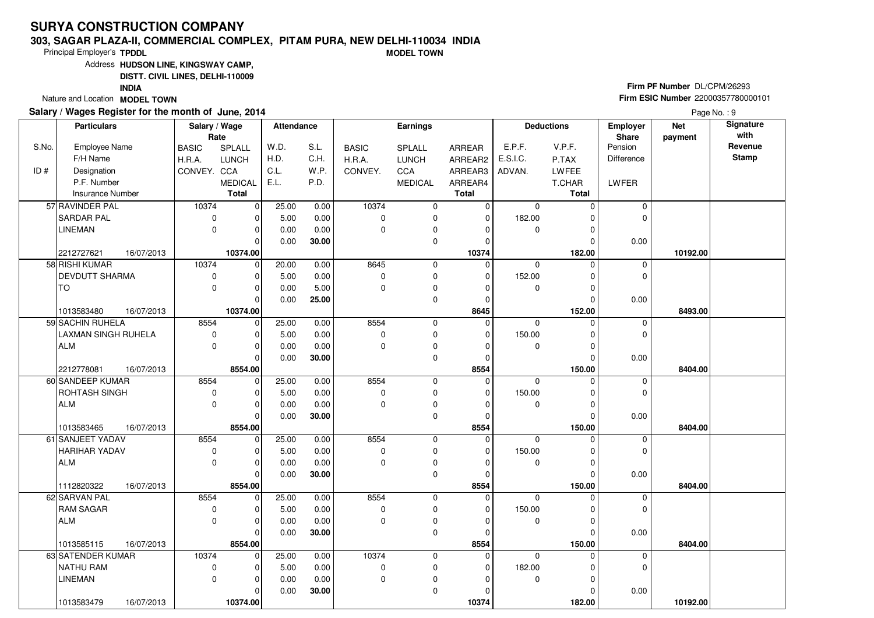#### **303, SAGAR PLAZA-II, COMMERCIAL COMPLEX, PITAM PURA, NEW DELHI-110034 INDIAMODEL TOWN**

Principal Employer's**TPDDL**

Address**HUDSON LINE, KINGSWAY CAMP,**

**DISTT. CIVIL LINES, DELHI-110009**

**INDIA**

Nature and Location **MODEL TOWN** 

### **Salary / Wages Register for the month of June, 2014**

**Firm PF Number** DL/CPM/26293 **Firm ESIC Number** <sup>22000357780000101</sup>

|       | <b>Particulars</b>                           | Salary / Wage       | Rate                | <b>Attendance</b> |               |              | Earnings       |                |                    | <b>Deductions</b>  | Employer<br>Share | <b>Net</b><br>payment | Signature<br>with |
|-------|----------------------------------------------|---------------------|---------------------|-------------------|---------------|--------------|----------------|----------------|--------------------|--------------------|-------------------|-----------------------|-------------------|
| S.No. | <b>Employee Name</b>                         | <b>BASIC</b>        | SPLALL              | W.D.              | S.L.          | <b>BASIC</b> | SPLALL         | ARREAR         | E.P.F.             | V.P.F.             | Pension           |                       | Revenue           |
|       | F/H Name                                     | H.R.A.              | <b>LUNCH</b>        | H.D.              | C.H.          | H.R.A.       | <b>LUNCH</b>   | ARREAR2        | E.S.I.C.           | P.TAX              | <b>Difference</b> |                       | <b>Stamp</b>      |
| ID#   | Designation                                  | CONVEY. CCA         |                     | C.L.              | W.P.          | CONVEY.      | <b>CCA</b>     | ARREAR3        | ADVAN.             | LWFEE              |                   |                       |                   |
|       | P.F. Number                                  |                     | <b>MEDICAL</b>      | E.L.              | P.D.          |              | <b>MEDICAL</b> | ARREAR4        |                    | T.CHAR             | LWFER             |                       |                   |
|       | <b>Insurance Number</b>                      |                     | <b>Total</b>        |                   |               |              |                | <b>Total</b>   |                    | <b>Total</b>       |                   |                       |                   |
|       | 57 RAVINDER PAL                              | 10374               | 0                   | 25.00             | 0.00          | 10374        | 0              | $\overline{0}$ | $\mathbf 0$        | $\Omega$           | $\mathbf 0$       |                       |                   |
|       | <b>SARDAR PAL</b>                            | $\mathbf 0$         | O                   | 5.00              | 0.00          | $\Omega$     | 0              | $\mathbf 0$    | 182.00             | O                  | $\Omega$          |                       |                   |
|       | <b>LINEMAN</b>                               | $\mathbf 0$         | $\Omega$            | 0.00              | 0.00          | $\mathbf 0$  | 0              | $\Omega$       | $\mathbf 0$        | 0                  |                   |                       |                   |
|       |                                              |                     | $\Omega$            | 0.00              | 30.00         |              | 0              | $\Omega$       |                    | $\Omega$           | 0.00              |                       |                   |
|       | 2212727621<br>16/07/2013                     |                     | 10374.00            |                   |               |              |                | 10374          |                    | 182.00             |                   | 10192.00              |                   |
|       | 58 RISHI KUMAR                               | 10374               | $\mathbf 0$         | 20.00             | 0.00          | 8645         | 0              | $\mathbf 0$    | $\mathbf 0$        | $\Omega$           | $\mathbf 0$       |                       |                   |
|       | <b>DEVDUTT SHARMA</b>                        | 0                   | $\Omega$            | 5.00              | 0.00          | $\mathbf 0$  | 0              | $\Omega$       | 152.00             | $\Omega$           | $\Omega$          |                       |                   |
|       | <b>TO</b>                                    | $\mathbf 0$         | $\Omega$            | 0.00              | 5.00          | $\mathbf 0$  | 0              | $\Omega$       | 0                  | $\Omega$           |                   |                       |                   |
|       |                                              |                     | $\Omega$            | 0.00              | 25.00         |              | 0              | $\Omega$       |                    | $\Omega$           | 0.00              |                       |                   |
|       | 1013583480<br>16/07/2013                     |                     | 10374.00            |                   |               |              |                | 8645           |                    | 152.00             |                   | 8493.00               |                   |
|       | 59 SACHIN RUHELA                             | 8554                | $\mathbf 0$         | 25.00             | 0.00          | 8554         | 0              | 0              | $\Omega$           | U                  | $\mathbf 0$       |                       |                   |
|       | LAXMAN SINGH RUHELA                          | $\pmb{0}$           |                     | 5.00              | 0.00          | $\pmb{0}$    | 0              | $\Omega$       | 150.00             | $\Omega$           | 0                 |                       |                   |
|       | <b>ALM</b>                                   | $\mathbf 0$         | $\Omega$            | 0.00              | 0.00          | $\mathbf 0$  | 0              | 0              | 0                  | 0                  |                   |                       |                   |
|       |                                              |                     | $\Omega$            | 0.00              | 30.00         |              | 0              | $\Omega$       |                    | $\Omega$           | 0.00              |                       |                   |
|       | 2212778081<br>16/07/2013                     |                     | 8554.00             |                   |               |              |                | 8554           |                    | 150.00             |                   | 8404.00               |                   |
|       | 60 SANDEEP KUMAR                             | 8554                | $\mathbf 0$         | 25.00             | 0.00          | 8554         | 0              | 0              | $\mathbf 0$        | $\Omega$           | 0                 |                       |                   |
|       | ROHTASH SINGH                                | $\mathbf 0$         | $\Omega$            | 5.00              | 0.00          | $\mathbf 0$  | 0              | $\Omega$       | 150.00             | $\Omega$           | 0                 |                       |                   |
|       | <b>ALM</b>                                   | $\mathbf 0$         | $\Omega$            | 0.00              | 0.00          | $\mathbf 0$  | 0              | 0              | 0                  | 0                  |                   |                       |                   |
|       |                                              |                     | $\Omega$            | 0.00              | 30.00         |              | 0              | $\Omega$       |                    | $\Omega$           | 0.00              |                       |                   |
|       | 1013583465<br>16/07/2013<br>61 SANJEET YADAV |                     | 8554.00<br>$\Omega$ |                   |               | 8554         |                | 8554           |                    | 150.00<br>$\Omega$ |                   | 8404.00               |                   |
|       | <b>HARIHAR YADAV</b>                         | 8554<br>$\mathbf 0$ |                     | 25.00<br>5.00     | 0.00<br>0.00  | $\mathbf 0$  | 0<br>0         | 0<br>$\Omega$  | $\Omega$<br>150.00 | $\Omega$           | 0<br>0            |                       |                   |
|       | <b>ALM</b>                                   | $\Omega$            | $\Omega$            |                   |               | $\Omega$     |                | $\Omega$       | $\mathbf 0$        | $\Omega$           |                   |                       |                   |
|       |                                              |                     | $\Omega$            | 0.00<br>0.00      | 0.00<br>30.00 |              | 0<br>0         | $\Omega$       |                    | $\Omega$           | 0.00              |                       |                   |
|       | 1112820322<br>16/07/2013                     |                     | 8554.00             |                   |               |              |                | 8554           |                    | 150.00             |                   | 8404.00               |                   |
|       | 62 SARVAN PAL                                | 8554                | $\Omega$            | 25.00             | 0.00          | 8554         | 0              | $\mathbf 0$    | $\mathbf 0$        | 0                  | 0                 |                       |                   |
|       | <b>RAM SAGAR</b>                             | $\mathbf 0$         | $\Omega$            | 5.00              | 0.00          | $\mathbf 0$  | 0              | $\Omega$       | 150.00             | $\Omega$           | 0                 |                       |                   |
|       | <b>ALM</b>                                   | $\Omega$            | O                   | 0.00              | 0.00          | $\Omega$     | 0              | $\Omega$       | 0                  | $\Omega$           |                   |                       |                   |
|       |                                              |                     | $\Omega$            | 0.00              | 30.00         |              | $\mathbf 0$    | $\Omega$       |                    | $\Omega$           | 0.00              |                       |                   |
|       | 1013585115<br>16/07/2013                     |                     | 8554.00             |                   |               |              |                | 8554           |                    | 150.00             |                   | 8404.00               |                   |
|       | 63 SATENDER KUMAR                            | 10374               | $\Omega$            | 25.00             | 0.00          | 10374        | 0              | 0              | $\Omega$           | 0                  | 0                 |                       |                   |
|       | NATHU RAM                                    | $\mathbf 0$         |                     | 5.00              | 0.00          | $\pmb{0}$    | 0              | 0              | 182.00             | 0                  | 0                 |                       |                   |
|       | <b>LINEMAN</b>                               | $\Omega$            | $\Omega$            | 0.00              | 0.00          | $\mathbf 0$  | 0              | $\Omega$       | 0                  | $\Omega$           |                   |                       |                   |
|       |                                              |                     | $\Omega$            | 0.00              | 30.00         |              | 0              | $\Omega$       |                    | 0                  | 0.00              |                       |                   |
|       | 1013583479<br>16/07/2013                     |                     | 10374.00            |                   |               |              |                | 10374          |                    | 182.00             |                   | 10192.00              |                   |
|       |                                              |                     |                     |                   |               |              |                |                |                    |                    |                   |                       |                   |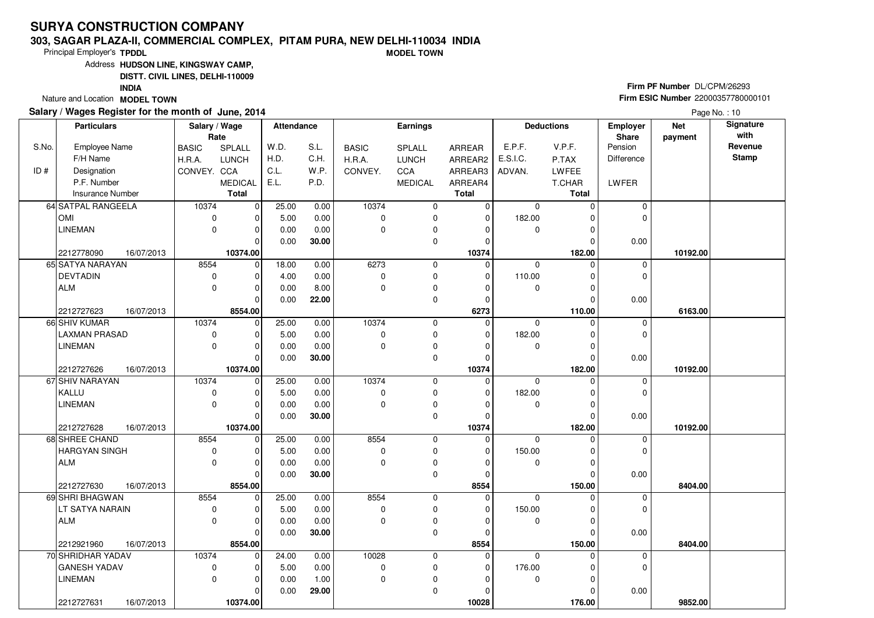#### **303, SAGAR PLAZA-II, COMMERCIAL COMPLEX, PITAM PURA, NEW DELHI-110034 INDIAMODEL TOWN**

Principal Employer's**TPDDL**

Address**HUDSON LINE, KINGSWAY CAMP,**

**DISTT. CIVIL LINES, DELHI-110009**

**INDIA**

Nature and Location **MODEL TOWN** 

### **Salary / Wages Register for the month of June, 2014**

**Firm PF Number** DL/CPM/26293 **Firm ESIC Number** <sup>22000357780000101</sup>

|       | <b>Particulars</b>       | Salary / Wage              | Rate                | <b>Attendance</b> |       |                     | Earnings       |                         |             | <b>Deductions</b> | Employer<br>Share | <b>Net</b><br>payment | Signature<br>with |
|-------|--------------------------|----------------------------|---------------------|-------------------|-------|---------------------|----------------|-------------------------|-------------|-------------------|-------------------|-----------------------|-------------------|
| S.No. | <b>Employee Name</b>     | <b>BASIC</b>               | SPLALL              | W.D.              | S.L.  | <b>BASIC</b>        | <b>SPLALL</b>  | ARREAR                  | E.P.F.      | V.P.F.            | Pension           |                       | Revenue           |
|       | F/H Name                 | H.R.A.                     | <b>LUNCH</b>        | H.D.              | C.H.  | H.R.A.              | <b>LUNCH</b>   | ARREAR2                 | E.S.I.C.    | P.TAX             | <b>Difference</b> |                       | <b>Stamp</b>      |
| ID#   | Designation              | CONVEY. CCA                |                     | C.L.              | W.P.  | CONVEY.             | CCA            | ARREAR3                 | ADVAN.      | LWFEE             |                   |                       |                   |
|       | P.F. Number              |                            | <b>MEDICAL</b>      | E.L.              | P.D.  |                     | <b>MEDICAL</b> | ARREAR4                 |             | T.CHAR            | LWFER             |                       |                   |
|       | <b>Insurance Number</b>  |                            | <b>Total</b>        |                   |       |                     |                | <b>Total</b>            |             | <b>Total</b>      |                   |                       |                   |
|       | 64 SATPAL RANGEELA       | 10374                      | 0                   | 25.00             | 0.00  | 10374               | $\pmb{0}$      | $\overline{0}$          | $\mathbf 0$ | $\Omega$          | $\mathbf 0$       |                       |                   |
|       | <b>OMI</b>               | 0                          | ŋ                   | 5.00              | 0.00  | $\mathbf 0$         | 0              | $\mathbf 0$             | 182.00      | 0                 | 0                 |                       |                   |
|       | <b>LINEMAN</b>           | $\mathbf 0$                | $\Omega$            | 0.00              | 0.00  | $\mathbf 0$         | 0              | $\Omega$                | $\mathbf 0$ | 0                 |                   |                       |                   |
|       |                          |                            | $\Omega$            | 0.00              | 30.00 |                     | 0              | $\Omega$                |             | $\Omega$          | 0.00              |                       |                   |
|       | 2212778090<br>16/07/2013 |                            | 10374.00            |                   |       |                     |                | 10374                   |             | 182.00            |                   | 10192.00              |                   |
|       | 65 SATYA NARAYAN         | 8554                       | $\mathbf 0$         | 18.00             | 0.00  | 6273                | 0              | 0                       | $\mathbf 0$ | $\Omega$          | 0                 |                       |                   |
|       | <b>DEVTADIN</b>          | $\mathbf 0$                | $\Omega$            | 4.00              | 0.00  | 0                   | 0              | $\Omega$                | 110.00      | $\Omega$          | $\mathbf 0$       |                       |                   |
|       | <b>ALM</b>               | $\mathbf 0$                | $\Omega$            | 0.00              | 8.00  | $\Omega$            | 0              | $\Omega$                | $\mathbf 0$ | $\Omega$          |                   |                       |                   |
|       |                          |                            | $\Omega$            | 0.00              | 22.00 |                     | 0              | $\Omega$                |             | $\Omega$          | 0.00              |                       |                   |
|       | 2212727623<br>16/07/2013 |                            | 8554.00             |                   |       |                     |                | 6273                    |             | 110.00            |                   | 6163.00               |                   |
|       | 66 SHIV KUMAR            | 10374                      | $\Omega$            | 25.00             | 0.00  | 10374               | 0              | $\Omega$                | $\Omega$    | O                 | 0                 |                       |                   |
|       | <b>LAXMAN PRASAD</b>     | 0                          |                     | 5.00              | 0.00  | 0                   | 0              | 0                       | 182.00      | 0                 | $\mathbf 0$       |                       |                   |
|       | <b>LINEMAN</b>           | $\mathbf 0$                | $\Omega$            | 0.00              | 0.00  | $\Omega$            | 0              | $\Omega$                | $\mathbf 0$ | $\Omega$          |                   |                       |                   |
|       |                          |                            | $\Omega$            | 0.00              | 30.00 |                     | $\mathbf 0$    | 0                       |             | $\Omega$          | 0.00              |                       |                   |
|       | 2212727626<br>16/07/2013 |                            | 10374.00            |                   |       |                     |                | 10374                   |             | 182.00            |                   | 10192.00              |                   |
|       | 67 SHIV NARAYAN          | 10374                      | $\Omega$            | 25.00             | 0.00  | 10374               | 0              | $\Omega$                | $\Omega$    | $\Omega$          | $\mathbf 0$       |                       |                   |
|       | KALLU                    | 0                          | $\Omega$            | 5.00              | 0.00  | $\mathbf 0$         | 0              | $\Omega$                | 182.00      | $\Omega$          | $\mathbf 0$       |                       |                   |
|       | <b>LINEMAN</b>           | $\mathbf 0$                | $\Omega$            | 0.00              | 0.00  | $\Omega$            | 0              | $\Omega$                | 0           | 0                 |                   |                       |                   |
|       |                          |                            | $\Omega$            | 0.00              | 30.00 |                     | 0              | $\Omega$                |             | $\Omega$          | 0.00              |                       |                   |
|       | 2212727628<br>16/07/2013 |                            | 10374.00            |                   |       |                     |                | 10374                   |             | 182.00            |                   | 10192.00              |                   |
|       | 68 SHREE CHAND           | 8554                       | $\Omega$            | 25.00             | 0.00  | 8554                | 0              | 0                       | $\Omega$    | O                 | 0                 |                       |                   |
|       | <b>HARGYAN SINGH</b>     | $\mathbf 0$                | O                   | 5.00              | 0.00  | $\mathbf 0$         | 0              | $\Omega$                | 150.00      | $\Omega$          | $\Omega$          |                       |                   |
|       | ALM                      | $\mathbf 0$                | $\Omega$            | 0.00              | 0.00  | $\Omega$            | 0              | $\Omega$                | 0           | $\Omega$          |                   |                       |                   |
|       |                          |                            | $\Omega$            | 0.00              | 30.00 |                     | $\mathbf 0$    | $\Omega$                |             | $\Omega$          | 0.00              |                       |                   |
|       | 2212727630<br>16/07/2013 |                            | 8554.00<br>$\Omega$ |                   |       |                     |                | 8554                    |             | 150.00<br>0       |                   | 8404.00               |                   |
|       | 69 SHRI BHAGWAN          | 8554                       | $\Omega$            | 25.00             | 0.00  | 8554<br>$\mathbf 0$ | 0              | $\mathbf 0$<br>$\Omega$ | $\mathbf 0$ | $\Omega$          | 0<br>0            |                       |                   |
|       | LT SATYA NARAIN          | $\mathbf 0$<br>$\mathbf 0$ | O                   | 5.00              | 0.00  |                     | 0              |                         | 150.00      |                   |                   |                       |                   |
|       | <b>ALM</b>               |                            | $\Omega$            | 0.00              | 0.00  | $\mathbf 0$         | 0              | 0                       | 0           | 0                 |                   |                       |                   |
|       |                          |                            |                     | 0.00              | 30.00 |                     | $\mathbf 0$    | $\Omega$                |             | $\Omega$          | 0.00              |                       |                   |
|       | 16/07/2013<br>2212921960 |                            | 8554.00<br>$\Omega$ |                   |       |                     |                | 8554                    | $\Omega$    | 150.00            |                   | 8404.00               |                   |
|       | 70 SHRIDHAR YADAV        | 10374                      |                     | 24.00             | 0.00  | 10028               | 0              | 0                       |             | 0                 | 0                 |                       |                   |
|       | <b>GANESH YADAV</b>      | $\mathbf 0$                |                     | 5.00              | 0.00  | $\pmb{0}$           | 0              | 0                       | 176.00      | 0                 | 0                 |                       |                   |
|       | <b>LINEMAN</b>           | $\Omega$                   | $\Omega$            | 0.00              | 1.00  | $\mathbf 0$         | 0              | $\Omega$                | 0           | $\Omega$          |                   |                       |                   |
|       |                          |                            | $\Omega$            | 0.00              | 29.00 |                     | 0              | $\Omega$                |             | 0                 | 0.00              |                       |                   |
|       | 2212727631<br>16/07/2013 |                            | 10374.00            |                   |       |                     |                | 10028                   |             | 176.00            |                   | 9852.00               |                   |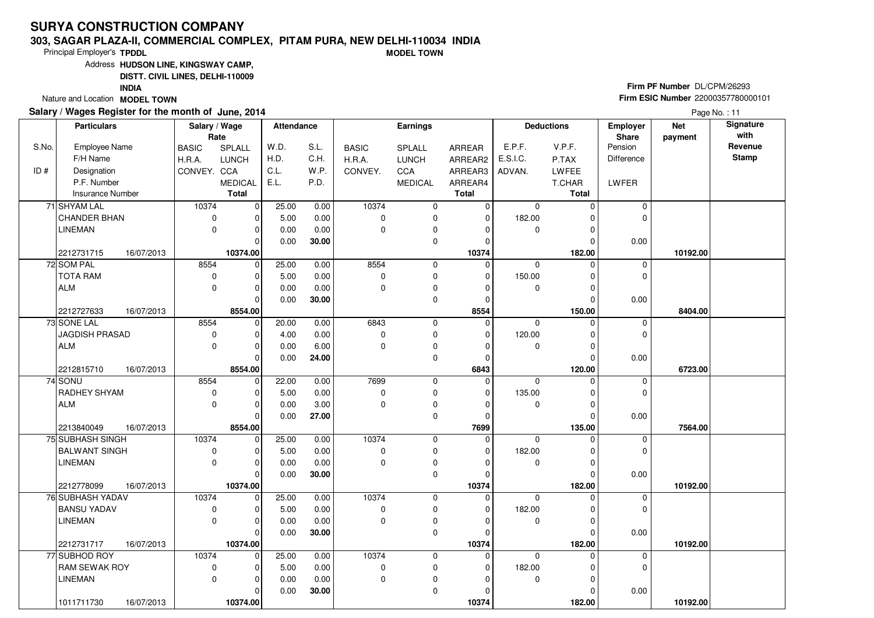#### **303, SAGAR PLAZA-II, COMMERCIAL COMPLEX, PITAM PURA, NEW DELHI-110034 INDIAMODEL TOWN**

Principal Employer's**TPDDL**

Address**HUDSON LINE, KINGSWAY CAMP,**

**DISTT. CIVIL LINES, DELHI-110009**

**INDIA**

Nature and Location **MODEL TOWN** 

### **Salary / Wages Register for the month of June, 2014**

**Firm PF Number** DL/CPM/26293 **Firm ESIC Number** <sup>22000357780000101</sup>

| Rate<br>Share<br>S.No.<br>S.L.<br>E.P.F.<br>V.P.F.<br>Pension<br><b>Employee Name</b><br>SPLALL<br>W.D.<br><b>BASIC</b><br>SPLALL<br>ARREAR<br><b>BASIC</b><br>H.D.<br>C.H.<br>F/H Name<br><b>LUNCH</b><br>E.S.I.C.<br>H.R.A.<br><b>LUNCH</b><br>H.R.A.<br>ARREAR2<br>P.TAX<br><b>Difference</b> | payment<br>Revenue<br><b>Stamp</b> |  |
|--------------------------------------------------------------------------------------------------------------------------------------------------------------------------------------------------------------------------------------------------------------------------------------------------|------------------------------------|--|
|                                                                                                                                                                                                                                                                                                  |                                    |  |
|                                                                                                                                                                                                                                                                                                  |                                    |  |
| ID#<br>C.L.<br>W.P.<br>Designation<br>CONVEY. CCA<br>CONVEY.<br>CCA<br>ARREAR3<br><b>LWFEE</b><br>ADVAN.                                                                                                                                                                                         |                                    |  |
| P.F. Number<br>E.L.<br>P.D.<br><b>LWFER</b><br><b>MEDICAL</b><br><b>MEDICAL</b><br>ARREAR4<br>T.CHAR                                                                                                                                                                                             |                                    |  |
| <b>Total</b><br><b>Insurance Number</b><br><b>Total</b><br><b>Total</b>                                                                                                                                                                                                                          |                                    |  |
| 10374<br>71 SHYAM LAL<br>10374<br>0<br>25.00<br>0.00<br>0<br>$\mathbf 0$<br>$\mathbf 0$<br>0<br>$\Omega$                                                                                                                                                                                         |                                    |  |
| <b>CHANDER BHAN</b><br>0.00<br>182.00<br>$\mathbf 0$<br>5.00<br>$\Omega$<br>$\mathbf 0$<br>$\mathbf 0$<br>$\Omega$<br>$\Omega$                                                                                                                                                                   |                                    |  |
| <b>LINEMAN</b><br>0.00<br>0.00<br>0<br>0<br>0<br>$\Omega$<br>$\mathbf 0$<br>$\Omega$<br>O                                                                                                                                                                                                        |                                    |  |
| $\mathbf 0$<br>$\Omega$<br>30.00<br>0.00<br>0.00<br>$\Omega$<br>ŋ                                                                                                                                                                                                                                |                                    |  |
| 10374.00<br>2212731715<br>16/07/2013<br>10374<br>182.00                                                                                                                                                                                                                                          | 10192.00                           |  |
| 25.00<br>8554<br>72 SOM PAL<br>8554<br> 0 <br>0<br>$\mathbf 0$<br>$\mathbf 0$<br>0.00<br>$\Omega$<br>$\mathbf 0$                                                                                                                                                                                 |                                    |  |
| <b>TOTA RAM</b><br>5.00<br>0.00<br>0<br>150.00<br>$\Omega$<br>0<br>$\Omega$<br>0<br>$\Omega$<br>O                                                                                                                                                                                                |                                    |  |
| <b>ALM</b><br>0.00<br>0.00<br>$\pmb{0}$<br>0<br>$\Omega$<br>0<br>0<br>$\Omega$<br>O                                                                                                                                                                                                              |                                    |  |
| $\mathbf 0$<br>$\Omega$<br>0.00<br>30.00<br>0.00<br>$\Omega$<br>$\Omega$                                                                                                                                                                                                                         |                                    |  |
| 8554.00<br>8554<br>150.00<br>2212727633<br>16/07/2013                                                                                                                                                                                                                                            | 8404.00                            |  |
| 8554<br>73 SONE LAL<br>20.00<br>0.00<br>6843<br>0<br>0<br>$\Omega$<br>$\mathbf 0$<br>0<br>$\Omega$                                                                                                                                                                                               |                                    |  |
| <b>JAGDISH PRASAD</b><br>$\pmb{0}$<br>0.00<br>$\mathbf 0$<br>0<br>120.00<br>$\mathbf 0$<br>4.00<br>$\Omega$<br>0                                                                                                                                                                                 |                                    |  |
| <b>ALM</b><br>0<br>$\mathbf 0$<br>0.00<br>6.00<br>$\Omega$<br>0<br>$\mathbf 0$<br>$\mathbf 0$<br>0                                                                                                                                                                                               |                                    |  |
| 0.00<br>$\mathbf 0$<br>0.00<br>$\Omega$<br>24.00<br>$\Omega$<br>$\Omega$                                                                                                                                                                                                                         |                                    |  |
| 8554.00<br>6843<br>120.00<br>2212815710<br>16/07/2013                                                                                                                                                                                                                                            | 6723.00                            |  |
| 7699<br>74 SONU<br>8554<br>$\mathbf 0$<br>22.00<br>0.00<br>$\mathbf 0$<br>0<br>$\mathbf 0$<br>$\Omega$<br>$\mathbf 0$                                                                                                                                                                            |                                    |  |
| RADHEY SHYAM<br>5.00<br>0.00<br>$\mathbf 0$<br>0<br>135.00<br>$\mathbf 0$<br>0<br>$\Omega$<br>$\Omega$<br>$\Omega$                                                                                                                                                                               |                                    |  |
| 0<br>$\pmb{0}$<br><b>ALM</b><br>0.00<br>3.00<br>$\Omega$<br>0<br>0<br>$\Omega$<br>O                                                                                                                                                                                                              |                                    |  |
| $\mathbf 0$<br>$\Omega$<br>0.00<br>27.00<br>0.00<br>$\Omega$<br>ŋ                                                                                                                                                                                                                                |                                    |  |
| 8554.00<br>2213840049<br>16/07/2013<br>7699<br>135.00                                                                                                                                                                                                                                            | 7564.00                            |  |
| 75 SUBHASH SINGH<br>10374<br>10374<br>$\Omega$<br>25.00<br>0.00<br>0<br>0<br>$\Omega$<br>0                                                                                                                                                                                                       |                                    |  |
| <b>BALWANT SINGH</b><br>5.00<br>0.00<br>0<br>182.00<br>$\mathbf 0$<br>0<br>0<br>$\Omega$<br>$\Omega$<br>O<br>$\Omega$                                                                                                                                                                            |                                    |  |
| 0<br>$\pmb{0}$<br><b>LINEMAN</b><br>0.00<br>0.00<br>$\Omega$<br>$\Omega$<br>$\mathbf 0$<br>$\Omega$<br>$\Omega$                                                                                                                                                                                  |                                    |  |
| 0.00<br>0<br>$\Omega$<br>30.00<br>0.00<br>$\Omega$<br>10374.00<br>10374<br>182.00                                                                                                                                                                                                                |                                    |  |
| 2212778099<br>16/07/2013<br>76 SUBHASH YADAV<br>10374<br>25.00<br>10374<br>$\mathbf 0$<br>0.00<br>0<br>$\mathbf 0$<br>$\mathbf 0$<br>$\Omega$<br>0                                                                                                                                               | 10192.00                           |  |
| <b>BANSU YADAV</b><br>0<br>5.00<br>0.00<br>$\mathbf 0$<br>0<br>182.00<br>$\mathbf 0$<br>$\Omega$<br>$\Omega$<br>$\Omega$                                                                                                                                                                         |                                    |  |
| 0<br><b>LINEMAN</b><br>0.00<br>0.00<br>0<br>0<br>$\Omega$<br>$\Omega$<br>0<br>O                                                                                                                                                                                                                  |                                    |  |
| 0.00<br>30.00<br>0<br>0.00<br>$\Omega$<br>$\Omega$<br>0                                                                                                                                                                                                                                          |                                    |  |
| 10374.00<br>2212731717<br>16/07/2013<br>10374<br>182.00                                                                                                                                                                                                                                          | 10192.00                           |  |
| 10374<br>77 SUBHOD ROY<br>10374<br>$\mathbf 0$<br>25.00<br>0.00<br>0<br>$\mathbf 0$<br>$\Omega$<br>0<br>U                                                                                                                                                                                        |                                    |  |
| <b>RAM SEWAK ROY</b><br>0<br>5.00<br>$\mathbf 0$<br>$\pmb{0}$<br>182.00<br>0<br>0.00<br>$\mathbf 0$<br>$\Omega$                                                                                                                                                                                  |                                    |  |
| <b>LINEMAN</b><br>0<br>0.00<br>$\mathbf{0}$<br>$\pmb{0}$<br>0.00<br>$\mathbf 0$<br>0<br>$\Omega$                                                                                                                                                                                                 |                                    |  |
| 0.00<br>30.00<br>0<br>0.00<br>0<br>U                                                                                                                                                                                                                                                             |                                    |  |
| 1011711730<br>16/07/2013<br>10374.00<br>10374<br>182.00                                                                                                                                                                                                                                          | 10192.00                           |  |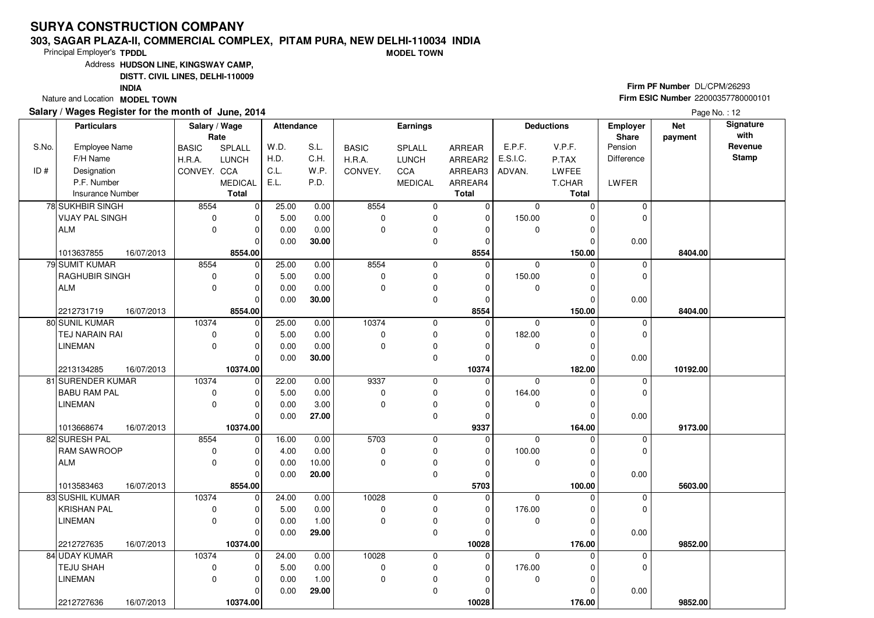#### **303, SAGAR PLAZA-II, COMMERCIAL COMPLEX, PITAM PURA, NEW DELHI-110034 INDIAMODEL TOWN**

Principal Employer's**TPDDL**

Address**HUDSON LINE, KINGSWAY CAMP,**

**DISTT. CIVIL LINES, DELHI-110009**

**INDIA**

Nature and Location **MODEL TOWN** 

### **Salary / Wages Register for the month of June, 2014**

**Firm PF Number** DL/CPM/26293 **Firm ESIC Number** <sup>22000357780000101</sup>

|       | <b>Particulars</b>                    | Salary / Wage | Rate                 | <b>Attendance</b> |       |                      | <b>Earnings</b> |               |                | <b>Deductions</b>    | Employer<br>Share | <b>Net</b><br>payment | Signature<br>with |
|-------|---------------------------------------|---------------|----------------------|-------------------|-------|----------------------|-----------------|---------------|----------------|----------------------|-------------------|-----------------------|-------------------|
| S.No. | <b>Employee Name</b>                  | <b>BASIC</b>  | SPLALL               | W.D.              | S.L.  | <b>BASIC</b>         | SPLALL          | ARREAR        | E.P.F.         | V.P.F.               | Pension           |                       | Revenue           |
|       | F/H Name                              | H.R.A.        | <b>LUNCH</b>         | H.D.              | C.H.  | H.R.A.               | <b>LUNCH</b>    | ARREAR2       | E.S.I.C.       | P.TAX                | <b>Difference</b> |                       | <b>Stamp</b>      |
| ID#   | Designation                           | CONVEY. CCA   |                      | C.L.              | W.P.  | CONVEY.              | CCA             | ARREAR3       | ADVAN.         | LWFEE                |                   |                       |                   |
|       | P.F. Number                           |               | <b>MEDICAL</b>       | E.L.              | P.D.  |                      | <b>MEDICAL</b>  | ARREAR4       |                | T.CHAR               | LWFER             |                       |                   |
|       | <b>Insurance Number</b>               |               | Total                |                   |       |                      |                 | <b>Total</b>  |                | <b>Total</b>         |                   |                       |                   |
|       | 78 SUKHBIR SINGH                      | 8554          | -o l                 | 25.00             | 0.00  | 8554                 | 0               | $\mathbf 0$   | $\mathbf 0$    | $\Omega$             | $\mathbf 0$       |                       |                   |
|       | <b>VIJAY PAL SINGH</b>                | 0             |                      | 5.00              | 0.00  | $\mathbf 0$          | 0               | $\mathbf 0$   | 150.00         | U                    | $\Omega$          |                       |                   |
|       | <b>ALM</b>                            | $\mathbf 0$   | $\Omega$             | 0.00              | 0.00  | $\Omega$             | 0               | 0             | $\mathbf 0$    | $\Omega$             |                   |                       |                   |
|       |                                       |               | $\Omega$             | 0.00              | 30.00 |                      | $\mathbf 0$     | $\mathbf 0$   |                | $\Omega$             | 0.00              |                       |                   |
|       | 16/07/2013<br>1013637855              |               | 8554.00              |                   |       |                      |                 | 8554          |                | 150.00               |                   | 8404.00               |                   |
|       | 79 SUMIT KUMAR                        | 8554          | $\mathbf 0$          | 25.00             | 0.00  | 8554                 | 0               | $\mathbf 0$   | $\mathbf 0$    | $\Omega$             | 0                 |                       |                   |
|       | RAGHUBIR SINGH                        | 0             | $\Omega$             | 5.00              | 0.00  | $\mathbf 0$          | 0               | $\mathbf 0$   | 150.00         | $\Omega$             | 0                 |                       |                   |
|       | <b>ALM</b>                            | 0             | $\Omega$             | 0.00              | 0.00  | $\Omega$             | 0               | $\Omega$      | 0              | $\Omega$             |                   |                       |                   |
|       |                                       |               | $\Omega$             | 0.00              | 30.00 |                      | $\mathbf 0$     | $\mathbf 0$   |                | $\Omega$             | 0.00              |                       |                   |
|       | 2212731719<br>16/07/2013              |               | 8554.00              |                   |       |                      |                 | 8554          |                | 150.00               |                   | 8404.00               |                   |
|       | 80 SUNIL KUMAR                        | 10374         | $\Omega$             | 25.00             | 0.00  | 10374                | $\pmb{0}$       | $\mathbf 0$   | $\Omega$       | $\Omega$             | 0                 |                       |                   |
|       | TEJ NARAIN RAI                        | 0             |                      | 5.00              | 0.00  | $\mathbf 0$          | 0               | 0             | 182.00         | 0                    | $\mathbf 0$       |                       |                   |
|       | <b>LINEMAN</b>                        | 0             | $\Omega$             | 0.00              | 0.00  | $\Omega$             | 0               | $\Omega$      | 0              | $\Omega$             |                   |                       |                   |
|       |                                       |               | $\Omega$             | 0.00              | 30.00 |                      | 0               | 0             |                | $\Omega$             | 0.00              |                       |                   |
|       | 16/07/2013<br>2213134285              |               | 10374.00             |                   |       |                      |                 | 10374         |                | 182.00               |                   | 10192.00              |                   |
|       | 81 SURENDER KUMAR                     | 10374         | $\Omega$             | 22.00             | 0.00  | 9337                 | $\mathbf 0$     | $\Omega$      | $\Omega$       | $\Omega$             | $\mathbf 0$       |                       |                   |
|       | <b>BABU RAM PAL</b>                   | 0             | $\Omega$             | 5.00              | 0.00  | 0                    | 0               | $\Omega$      | 164.00         | $\Omega$             | $\mathbf 0$       |                       |                   |
|       | <b>LINEMAN</b>                        | $\mathbf 0$   | 0                    | 0.00              | 3.00  | $\Omega$             | $\pmb{0}$       | $\Omega$      | 0              | O                    |                   |                       |                   |
|       |                                       |               | $\Omega$             | 0.00              | 27.00 |                      | $\mathbf 0$     | $\Omega$      |                | $\Omega$             | 0.00              |                       |                   |
|       | 1013668674<br>16/07/2013              |               | 10374.00             |                   |       |                      |                 | 9337          |                | 164.00               |                   | 9173.00               |                   |
|       | 82 SURESH PAL                         | 8554          | $\Omega$             | 16.00             | 0.00  | 5703                 | 0               | 0             | $\overline{0}$ | U                    | 0                 |                       |                   |
|       | <b>RAM SAWROOP</b>                    | 0             | U                    | 4.00              | 0.00  | $\mathbf 0$          | 0               | $\Omega$      | 100.00         | $\Omega$             | $\Omega$          |                       |                   |
|       | <b>ALM</b>                            | 0             | $\Omega$             | 0.00              | 10.00 | $\Omega$             | 0               | $\mathbf 0$   | 0              | $\Omega$             |                   |                       |                   |
|       |                                       |               | $\Omega$             | 0.00              | 20.00 |                      | 0               | $\mathbf 0$   |                | $\Omega$             | 0.00              |                       |                   |
|       | 1013583463<br>16/07/2013              |               | 8554.00              |                   |       |                      |                 | 5703          |                | 100.00               |                   | 5603.00               |                   |
|       | 83 SUSHIL KUMAR<br><b>KRISHAN PAL</b> | 10374         | $\Omega$             | 24.00             | 0.00  | 10028<br>$\mathbf 0$ | 0               | 0<br>$\Omega$ | 0              | O                    | 0<br>0            |                       |                   |
|       |                                       | 0             | $\Omega$             | 5.00              | 0.00  |                      | 0               |               | 176.00         | $\Omega$<br>$\Omega$ |                   |                       |                   |
|       | <b>LINEMAN</b>                        | 0             | 0                    | 0.00              | 1.00  | 0                    | 0               | 0<br>$\Omega$ | 0              |                      |                   |                       |                   |
|       |                                       |               | $\Omega$             | 0.00              | 29.00 |                      | 0               |               |                | $\Omega$             | 0.00              |                       |                   |
|       | 2212727635<br>16/07/2013              |               | 10374.00<br>$\Omega$ |                   |       |                      |                 | 10028         |                | 176.00<br>U          |                   | 9852.00               |                   |
|       | 84 UDAY KUMAR                         | 10374         |                      | 24.00             | 0.00  | 10028                | 0               | 0             | $\mathbf 0$    |                      | 0                 |                       |                   |
|       | TEJU SHAH                             | 0             | $\Omega$             | 5.00              | 0.00  | $\mathbf 0$          | 0               | $\mathbf 0$   | 176.00         |                      | 0                 |                       |                   |
|       | <b>LINEMAN</b>                        | $\mathbf 0$   | $\Omega$             | 0.00              | 1.00  | 0                    | 0               | $\Omega$      | 0              | $\Omega$             |                   |                       |                   |
|       |                                       |               | 0                    | 0.00              | 29.00 |                      | 0               | 0             |                | $\Omega$             | 0.00              |                       |                   |
|       | 2212727636<br>16/07/2013              |               | 10374.00             |                   |       |                      |                 | 10028         |                | 176.00               |                   | 9852.00               |                   |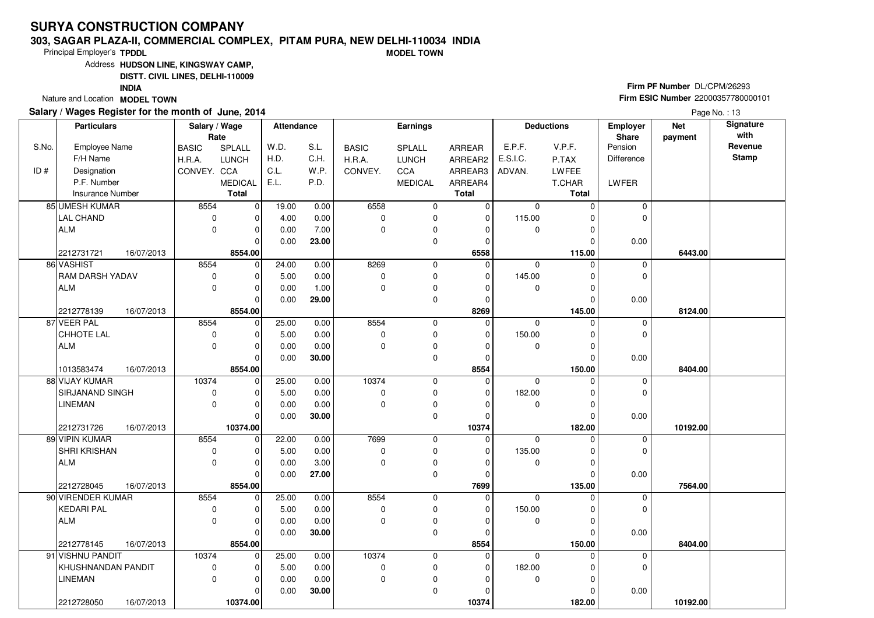#### **303, SAGAR PLAZA-II, COMMERCIAL COMPLEX, PITAM PURA, NEW DELHI-110034 INDIAMODEL TOWN**

Principal Employer's**TPDDL**

Address**HUDSON LINE, KINGSWAY CAMP,**

**DISTT. CIVIL LINES, DELHI-110009**

**INDIA**

Nature and Location **MODEL TOWN** 

### **Salary / Wages Register for the month of June, 2014**

**Firm PF Number** DL/CPM/26293 **Firm ESIC Number** <sup>22000357780000101</sup>

|       | <b>Particulars</b>                |              | Salary / Wage<br>Rate |       | <b>Attendance</b> | <b>Earnings</b> |                |                  | <b>Deductions</b> |                    | Employer<br>Share | <b>Net</b><br>payment | Signature<br>with |
|-------|-----------------------------------|--------------|-----------------------|-------|-------------------|-----------------|----------------|------------------|-------------------|--------------------|-------------------|-----------------------|-------------------|
| S.No. | <b>Employee Name</b>              | <b>BASIC</b> | SPLALL                | W.D.  | S.L.              | <b>BASIC</b>    | SPLALL         | ARREAR           | E.P.F.            | V.P.F.             | Pension           |                       | Revenue           |
|       | F/H Name                          | H.R.A.       | <b>LUNCH</b>          | H.D.  | C.H.              | H.R.A.          | <b>LUNCH</b>   | ARREAR2          | E.S.I.C.          | P.TAX              | <b>Difference</b> |                       | <b>Stamp</b>      |
| ID#   | Designation                       | CONVEY. CCA  |                       | C.L.  | W.P.              | CONVEY.         | CCA            | ARREAR3          | ADVAN.            | LWFEE              |                   |                       |                   |
|       | P.F. Number                       |              | <b>MEDICAL</b>        | E.L.  | P.D.              |                 | <b>MEDICAL</b> | ARREAR4          |                   | T.CHAR             | LWFER             |                       |                   |
|       | <b>Insurance Number</b>           |              | Total                 |       |                   |                 |                | <b>Total</b>     |                   | <b>Total</b>       |                   |                       |                   |
|       | 85 UMESH KUMAR                    | 8554         | -o l                  | 19.00 | 0.00              | 6558            | 0              | $\mathbf 0$      | $\mathbf 0$       | $\Omega$           | $\mathbf 0$       |                       |                   |
|       | <b>LAL CHAND</b>                  | 0            | U                     | 4.00  | 0.00              | $\mathbf 0$     | 0              | $\mathbf 0$      | 115.00            | U                  | $\Omega$          |                       |                   |
|       | <b>ALM</b>                        | 0            | $\Omega$              | 0.00  | 7.00              | $\mathbf 0$     | 0              | 0                | $\mathbf 0$       | $\Omega$           |                   |                       |                   |
|       |                                   |              | $\Omega$              | 0.00  | 23.00             |                 | $\mathbf 0$    | $\mathbf 0$      |                   | $\Omega$           | 0.00              |                       |                   |
|       | 16/07/2013<br>2212731721          |              | 8554.00               |       |                   |                 |                | 6558             |                   | 115.00             |                   | 6443.00               |                   |
|       | 86 VASHIST                        | 8554         | $\mathbf 0$           | 24.00 | 0.00              | 8269            | 0              | $\mathbf 0$      | $\mathbf 0$       | $\Omega$           | 0                 |                       |                   |
|       | RAM DARSH YADAV                   | 0            | $\Omega$              | 5.00  | 0.00              | $\mathbf 0$     | 0              | $\mathbf 0$      | 145.00            | $\Omega$           | 0                 |                       |                   |
|       | <b>ALM</b>                        | 0            | $\Omega$              | 0.00  | 1.00              | $\Omega$        | 0              | $\Omega$         | 0                 | $\Omega$           |                   |                       |                   |
|       |                                   |              | $\Omega$              | 0.00  | 29.00             |                 | $\mathbf 0$    | $\mathbf 0$      |                   | $\Omega$           | 0.00              |                       |                   |
|       | 2212778139<br>16/07/2013          |              | 8554.00               |       |                   |                 |                | 8269             |                   | 145.00             |                   | 8124.00               |                   |
|       | 87 VEER PAL                       | 8554         | $\Omega$              | 25.00 | 0.00              | 8554            | $\pmb{0}$      | 0                | $\Omega$          | $\Omega$           | 0                 |                       |                   |
|       | CHHOTE LAL                        | 0            |                       | 5.00  | 0.00              | $\mathbf 0$     | 0              | 0                | 150.00            | 0                  | $\mathbf 0$       |                       |                   |
|       | <b>ALM</b>                        | 0            | $\Omega$              | 0.00  | 0.00              | $\Omega$        | 0              | $\mathbf 0$      | 0                 | $\Omega$           |                   |                       |                   |
|       |                                   |              | 0                     | 0.00  | 30.00             |                 | 0              | 0                |                   | $\Omega$           | 0.00              |                       |                   |
|       | 1013583474<br>16/07/2013          | 10374        | 8554.00<br>$\Omega$   | 25.00 |                   | 10374           | $\mathbf 0$    | 8554<br>$\Omega$ | $\Omega$          | 150.00<br>$\Omega$ |                   | 8404.00               |                   |
|       | 88 VIJAY KUMAR<br>SIRJANAND SINGH | 0            | $\Omega$              | 5.00  | 0.00<br>0.00      | $\mathbf 0$     | 0              | 0                | 182.00            | $\Omega$           | $\mathbf 0$<br>0  |                       |                   |
|       | <b>LINEMAN</b>                    | $\mathbf 0$  | 0                     | 0.00  | 0.00              | $\Omega$        | 0              | $\Omega$         | 0                 | 0                  |                   |                       |                   |
|       |                                   |              | $\Omega$              | 0.00  | 30.00             |                 | $\mathbf 0$    | $\Omega$         |                   | $\Omega$           | 0.00              |                       |                   |
|       | 2212731726<br>16/07/2013          |              | 10374.00              |       |                   |                 |                | 10374            |                   | 182.00             |                   | 10192.00              |                   |
|       | 89 VIPIN KUMAR                    | 8554         | $\Omega$              | 22.00 | 0.00              | 7699            | $\mathbf 0$    | $\Omega$         | $\overline{0}$    | U                  | 0                 |                       |                   |
|       | <b>SHRI KRISHAN</b>               | 0            | $\Omega$              | 5.00  | 0.00              | $\mathbf 0$     | 0              | $\Omega$         | 135.00            | $\Omega$           | $\Omega$          |                       |                   |
|       | <b>ALM</b>                        | 0            | $\Omega$              | 0.00  | 3.00              | $\Omega$        | 0              | 0                | 0                 | $\Omega$           |                   |                       |                   |
|       |                                   |              | $\Omega$              | 0.00  | 27.00             |                 | 0              | $\mathbf 0$      |                   | $\Omega$           | 0.00              |                       |                   |
|       | 2212728045<br>16/07/2013          |              | 8554.00               |       |                   |                 |                | 7699             |                   | 135.00             |                   | 7564.00               |                   |
|       | 90 VIRENDER KUMAR                 | 8554         | $\mathbf 0$           | 25.00 | 0.00              | 8554            | 0              | 0                | 0                 | O                  | 0                 |                       |                   |
|       | <b>KEDARI PAL</b>                 | 0            | $\Omega$              | 5.00  | 0.00              | $\mathbf 0$     | 0              | $\Omega$         | 150.00            | $\Omega$           | 0                 |                       |                   |
|       | <b>ALM</b>                        | 0            | $\Omega$              | 0.00  | 0.00              | 0               | 0              | 0                | 0                 | $\Omega$           |                   |                       |                   |
|       |                                   |              | $\Omega$              | 0.00  | 30.00             |                 | 0              | $\Omega$         |                   | $\Omega$           | 0.00              |                       |                   |
|       | 2212778145<br>16/07/2013          |              | 8554.00               |       |                   |                 |                | 8554             |                   | 150.00             |                   | 8404.00               |                   |
|       | 91 VISHNU PANDIT                  | 10374        | $\mathbf 0$           | 25.00 | 0.00              | 10374           | 0              | 0                | $\mathbf 0$       | U                  | 0                 |                       |                   |
|       | KHUSHNANDAN PANDIT                | 0            | $\Omega$              | 5.00  | 0.00              | $\mathbf 0$     | 0              | $\mathbf 0$      | 182.00            | U                  | 0                 |                       |                   |
|       | <b>LINEMAN</b>                    | $\mathbf 0$  | $\Omega$              | 0.00  | 0.00              | $\mathbf 0$     | 0              | $\Omega$         | 0                 | $\Omega$           |                   |                       |                   |
|       |                                   |              | 0                     | 0.00  | 30.00             |                 | 0              | $\Omega$         |                   | $\Omega$           | 0.00              |                       |                   |
|       | 2212728050<br>16/07/2013          |              | 10374.00              |       |                   |                 |                | 10374            |                   | 182.00             |                   | 10192.00              |                   |